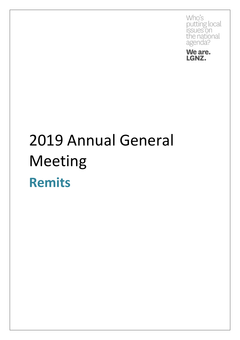**Who's** putting local issues on the national agenda?



### 2019 Annual General Meeting **Remits**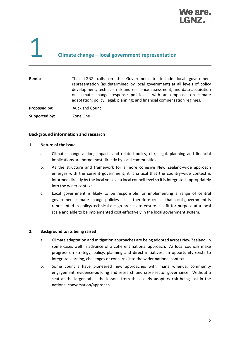

### 1 **Climate change – local government representation**

| Remit:        | That LGNZ calls on the Government to include local government<br>representation (as determined by local government) at all levels of policy<br>development, technical risk and resilience assessment, and data acquisition<br>on climate change response policies - with an emphasis on climate<br>adaptation: policy; legal; planning; and financial compensation regimes. |
|---------------|-----------------------------------------------------------------------------------------------------------------------------------------------------------------------------------------------------------------------------------------------------------------------------------------------------------------------------------------------------------------------------|
| Proposed by:  | <b>Auckland Council</b>                                                                                                                                                                                                                                                                                                                                                     |
| Supported by: | Zone One                                                                                                                                                                                                                                                                                                                                                                    |

#### **Background information and research**

#### **1. Nature of the issue**

- a. Climate change action, impacts and related policy, risk, legal, planning and financial implications are borne most directly by local communities.
- b. As the structure and framework for a more cohesive New Zealand-wide approach emerges with the current government, it is critical that the country-wide context is informed directly by the local voice at a local council level so it is integrated appropriately into the wider context.
- c. Local government is likely to be responsible for implementing a range of central government climate change policies – it is therefore crucial that local government is represented in policy/technical design process to ensure it is fit for purpose at a local scale and able to be implemented cost-effectively in the local government system.

#### **2. Background to its being raised**

- a. Climate adaptation and mitigation approaches are being adopted across New Zealand, in some cases well in advance of a coherent national approach. As local councils make progress on strategy, policy, planning and direct initiatives, an opportunity exists to integrate learning, challenges or concerns into the wider national context.
- b. Some councils have pioneered new approaches with mana whenua, community engagement, evidence-building and research and cross-sector governance. Without a seat at the larger table, the lessons from these early adopters risk being lost in the national conversation/approach.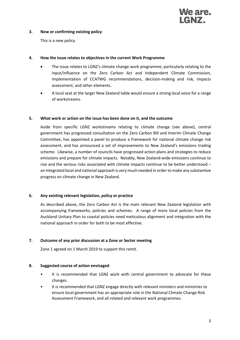

#### **3. New or confirming existing policy**

This is a new policy.

#### **4. How the issue relates to objectives in the current Work Programme**

- The issue relates to LGNZ's climate change work programme, particularly relating to the input/influence on the Zero Carbon Act and Independent Climate Commission, implementation of CCATWG recommendations, decision-making and risk, impacts assessment, and other elements.
- A local seat at the larger New Zealand table would ensure a strong local voice for a range of workstreams.

#### **5. What work or action on the issue has been done on it, and the outcome**

Aside from specific LGNZ workstreams relating to climate change (see above), central government has progressed consultation on the Zero Carbon Bill and Interim Climate Change Committee, has appointed a panel to produce a framework for national climate change risk assessment, and has announced a set of improvements to New Zealand's emissions trading scheme. Likewise, a number of councils have progressed action plans and strategies to reduce emissions and prepare for climate impacts. Notably, New Zealand-wide emissions continue to rise and the serious risks associated with climate impacts continue to be better understood – an integrated local and national approach is very much needed in order to make any substantive progress on climate change in New Zealand.

#### **6. Any existing relevant legislation, policy or practice**

As described above, the Zero Carbon Act is the main relevant New Zealand legislation with accompanying frameworks, policies and schemes. A range of more local policies from the Auckland Unitary Plan to coastal policies need meticulous alignment and integration with the national approach in order for both to be most effective.

#### **7. Outcome of any prior discussion at a Zone or Sector meeting**

Zone 1 agreed on 1 March 2019 to support this remit.

#### **8. Suggested course of action envisaged**

- It is recommended that LGNZ work with central government to advocate for these changes.
- It is recommended that LGNZ engage directly with relevant ministers and ministries to ensure local government has an appropriate role in the National Climate Change Risk Assessment Framework, and all related and relevant work programmes.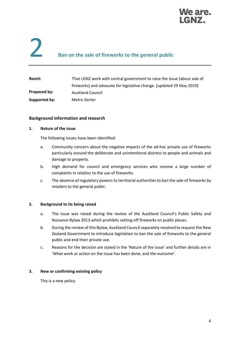

# **2** Ban on the sale of fireworks to the general public

| Remit:        | That LGNZ work with central government to raise the issue (about sale of |
|---------------|--------------------------------------------------------------------------|
|               | fireworks) and advocate for legislative change. [updated 29 May 2019]    |
| Proposed by:  | <b>Auckland Council</b>                                                  |
| Supported by: | Metro Sector                                                             |

#### **Background information and research**

#### **1. Nature of the issue**

The following issues have been identified:

- a. Community concern about the negative impacts of the ad-hoc private use of fireworks particularly around the deliberate and unintentional distress to people and animals and damage to property.
- b. High demand for council and emergency services who receive a large number of complaints in relation to the use of fireworks.
- c. The absence of regulatory powers to territorial authorities to ban the sale of fireworks by retailers to the general public.

#### **2. Background to its being raised**

- a. The issue was raised during the review of the Auckland Council's Public Safety and Nuisance Bylaw 2013 which prohibits setting off fireworks on public places.
- b. During the review of this Bylaw, Auckland Council separately resolved to request the New Zealand Government to introduce legislation to ban the sale of fireworks to the general public and end their private use.
- c. Reasons for the decision are stated in the 'Nature of the issue' and further details are in 'What work or action on the issue has been done, and the outcome'.

#### **3. New or confirming existing policy**

This is a new policy.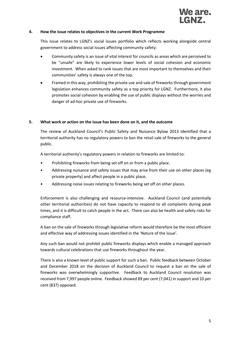

#### **4. How the issue relates to objectives in the current Work Programme**

This issue relates to LGNZ's social issues portfolio which reflects working alongside central government to address social issues affecting community safety:

- Community safety is an issue of vital interest for councils as areas which are perceived to be "unsafe" are likely to experience lower levels of social cohesion and economic investment. When asked to rank issues that are most important to themselves and their communities' safety is always one of the top.
- Framed in this way, prohibiting the private use and sale of fireworks through government legislation enhances community safety as a top priority for LGNZ. Furthermore, it also promotes social cohesion by enabling the use of public displays without the worries and danger of ad-hoc private use of fireworks.

#### **5. What work or action on the issue has been done on it, and the outcome**

The review of Auckland Council's Public Safety and Nuisance Bylaw 2013 identified that a territorial authority has no regulatory powers to ban the retail sale of fireworks to the general public.

A territorial authority's regulatory powers in relation to fireworks are limited to:

- Prohibiting fireworks from being set off on or from a public place.
- Addressing nuisance and safety issues that may arise from their use on other places (eg private property) and affect people in a public place.
- Addressing noise issues relating to fireworks being set off on other places.

Enforcement is also challenging and resource-intensive. Auckland Council (and potentially other territorial authorities) do not have capacity to respond to all complaints during peak times, and it is difficult to catch people in the act. There can also be health and safety risks for compliance staff.

A ban on the sale of fireworks through legislative reform would therefore be the most efficient and effective way of addressing issues identified in the 'Nature of the issue'.

Any such ban would not prohibit public fireworks displays which enable a managed approach towards cultural celebrations that use fireworks throughout the year.

There is also a known level of public support for such a ban. Public feedback between October and December 2018 on the decision of Auckland Council to request a ban on the sale of fireworks was overwhelmingly supportive. Feedback to Auckland Council resolution was received from 7,997 people online. Feedback showed 89 per cent (7,041) in support and 10 per cent (837) opposed.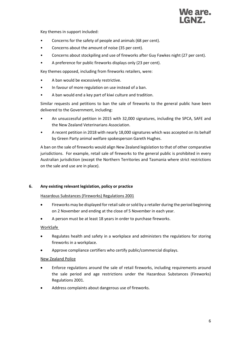

Key themes in support included:

- Concerns for the safety of people and animals (68 per cent).
- Concerns about the amount of noise (35 per cent).
- Concerns about stockpiling and use of fireworks after Guy Fawkes night (27 per cent).
- A preference for public fireworks displays only (23 per cent).

Key themes opposed, including from fireworks retailers, were:

- A ban would be excessively restrictive.
- In favour of more regulation on use instead of a ban.
- A ban would end a key part of kiwi culture and tradition.

Similar requests and petitions to ban the sale of fireworks to the general public have been delivered to the Government, including:

- An unsuccessful petition in 2015 with 32,000 signatures, including the SPCA, SAFE and the New Zealand Veterinarians Association.
- A recent petition in 2018 with nearly 18,000 signatures which was accepted on its behalf by Green Party animal welfare spokesperson Gareth Hughes.

A ban on the sale of fireworks would align New Zealand legislation to that of other comparative jurisdictions. For example, retail sale of fireworks to the general public is prohibited in every Australian jurisdiction (except the Northern Territories and Tasmania where strict restrictions on the sale and use are in place).

#### **6. Any existing relevant legislation, policy or practice**

Hazardous Substances (Fireworks) Regulations 2001

- Fireworks may be displayed for retail sale or sold by a retailer during the period beginning on 2 November and ending at the close of 5 November in each year.
- A person must be at least 18 years in order to purchase fireworks.

WorkSafe

- Regulates health and safety in a workplace and administers the regulations for storing fireworks in a workplace.
- Approve compliance certifiers who certify public/commercial displays.

#### New Zealand Police

- Enforce regulations around the sale of retail fireworks, including requirements around the sale period and age restrictions under the Hazardous Substances (Fireworks) Regulations 2001.
- Address complaints about dangerous use of fireworks.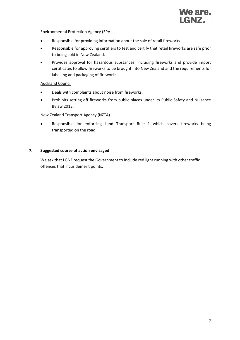

#### Environmental Protection Agency (EPA)

- Responsible for providing information about the sale of retail fireworks.
- Responsible for approving certifiers to test and certify that retail fireworks are safe prior to being sold in New Zealand.
- Provides approval for hazardous substances, including fireworks and provide import certificates to allow fireworks to be brought into New Zealand and the requirements for labelling and packaging of fireworks.

#### Auckland Council

- Deals with complaints about noise from fireworks.
- Prohibits setting off fireworks from public places under its Public Safety and Nuisance Bylaw 2013.

#### New Zealand Transport Agency (NZTA)

• Responsible for enforcing Land Transport Rule 1 which covers fireworks being transported on the road.

#### **7. Suggested course of action envisaged**

We ask that LGNZ request the Government to include red light running with other traffic offences that incur demerit points.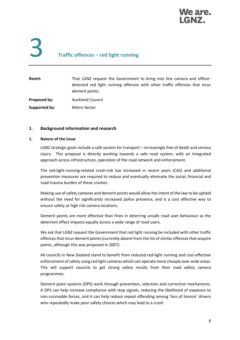

# 3 **Traffic offences – red light running**

| Remit:        | That LGNZ request the Government to bring into line camera and officer-<br>detected red light running offences with other traffic offences that incur<br>demerit points. |
|---------------|--------------------------------------------------------------------------------------------------------------------------------------------------------------------------|
| Proposed by:  | <b>Auckland Council</b>                                                                                                                                                  |
| Supported by: | Metro Sector                                                                                                                                                             |

#### **1. Background information and research**

#### **1. Nature of the issue**

LGNZ strategic goals include a safe system for transport – increasingly free of death and serious injury. This proposal is directly working towards a safe road system, with an integrated approach across infrastructure, operation of the road network and enforcement.

The red-light-running-related crash-risk has increased in recent years (CAS) and additional prevention measures are required to reduce and eventually eliminate the social, financial and road trauma burden of these crashes.

Making use of safety cameras and demerit points would allow the intent of the law to be upheld without the need for significantly increased police presence, and is a cost effective way to ensure safety at high risk camera locations.

Demerit points are more effective than fines in deterring unsafe road user behaviour as the deterrent effect impacts equally across a wide range of road users.

We ask that LGNZ request the Government that red light running be included with other traffic offences that incur demerit points (currently absent from the list of similar offences that acquire points, although this was proposed in 2007).

All councils in New Zealand stand to benefit from reduced red-light running and cost-effective enforcement of safety using red light cameras which can operate more cheaply over wide areas. This will support councils to get strong safety results from their road safety camera programmes.

Demerit point systems (DPS) work through prevention, selection and correction mechanisms. A DPS can help increase compliance with stop signals, reducing the likelihood of exposure to non-survivable forces, and it can help reduce repeat offending among 'loss of licence' drivers who repeatedly make poor safety choices which may lead to a crash.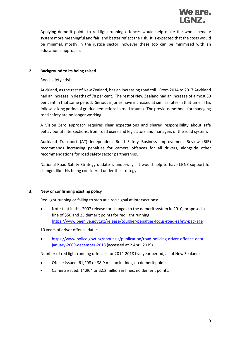

Applying demerit points to red-light-running offences would help make the whole penalty system more meaningful and fair, and better reflect the risk. It is expected that the costs would be minimal, mostly in the justice sector, however these too can be minimised with an educational approach.

#### **2. Background to its being raised**

#### Road safety crisis

Auckland, as the rest of New Zealand, has an increasing road toll. From 2014 to 2017 Auckland had an increase in deaths of 78 per cent. The rest of New Zealand had an increase of almost 30 per cent in that same period. Serious injuries have increased at similar rates in that time. This follows a long period of gradual reductions in road trauma. The previous methods for managing road safety are no longer working.

A Vision Zero approach requires clear expectations and shared responsibility about safe behaviour at intersections, from road users and legislators and managers of the road system.

Auckland Transport (AT) Independent Road Safety Business Improvement Review (BIR) recommends increasing penalties for camera offences for all drivers, alongside other recommendations for road safety sector partnerships.

National Road Safety Strategy update is underway. It would help to have LGNZ support for changes like this being considered under the strategy.

#### **3. New or confirming existing policy**

Red light running or failing to stop at a red signal at intersections:

• Note that in this 2007 release for changes to the demerit system in 2010, proposed a fine of \$50 and 25 demerit points for red light running. <https://www.beehive.govt.nz/release/tougher-penalties-focus-road-safety-package>

#### 10 years of driver offence data:

• [https://www.police.govt.nz/about-us/publication/road-policing-driver-offence-data](https://www.police.govt.nz/about-us/publication/road-policing-driver-offence-data-january-2009-december-2018)[january-2009-december-2018](https://www.police.govt.nz/about-us/publication/road-policing-driver-offence-data-january-2009-december-2018) (accessed at 2 April 2019)

#### Number of red light running offences for 2014-2018 five year period, all of New Zealand:

- Officer issued: 61,208 or \$8.9 million in fines, no demerit points.
- Camera issued: 14,904 or \$2.2 million in fines, no demerit points.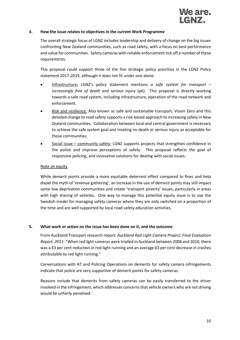

#### **4. How the issue relates to objectives in the current Work Programme**

The overall strategic focus of LGNZ includes leadership and delivery of change on the big issues confronting New Zealand communities, such as road safety, with a focus on best performance and value for communities. Safety cameras with reliable enforcement tick off a number of these requirements.

This proposal could support three of the five strategic policy priorities in the LGNZ Policy statement 2017-2019, although it does not fit under one alone:

- Infrastructure: LGNZ's policy statement mentions *a safe system for transport – increasingly free of death and serious injury* (p6). This proposal is directly working towards a safe road system, including infrastructure, operation of the road network and enforcement.
- Risk and resilience: Also known as safe and sustainable transport, Vision Zero and this detailed change to road safety supports a risk-based approach to increasing safety in New Zealand communities. Collaboration between local and central government is necessary to achieve the safe system goal and treating no death or serious injury as acceptable for those communities.
- Social issue community safety: LGNZ supports projects that strengthen confidence in the police and improve perceptions of safety. This proposal reflects the goal of responsive policing, and innovative solutions for dealing with social issues.

#### Note on equity

While demerit points provide a more equitable deterrent effect compared to fines and help dispel the myth of 'revenue gathering', an increase in the use of demerit points may still impact some low deprivation communities and create 'transport poverty' issues, particularly in areas with high sharing of vehicles. One way to manage this potential equity issue is to use the Swedish model for managing safety cameras where they are only switched on a proportion of the time and are well supported by local road safety education activities.

#### **5. What work or action on the issue has been done on it, and the outcome**

From Auckland Transport research report: *Auckland Red Light Camera Project: Final Evaluation Report, 2011*: "When red light cameras were trialled in Auckland between 2008 and 2010, there was a 43 per cent reduction in red-light running and an average 63 per cent decrease in crashes attributable to red light running."

Conversations with AT and Policing Operations on demerits for safety camera infringements indicate that police are very supportive of demerit points for safety cameras.

Reasons include that demerits from safety cameras can be easily transferred to the driver involved in the infringement, which addresses concerns that vehicle owners who are not driving would be unfairly penalised.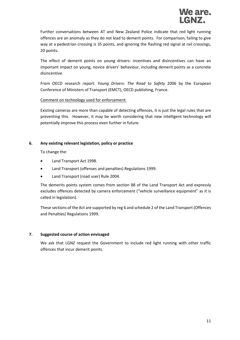Further conversations between AT and New Zealand Police indicate that red light running offences are an anomaly as they do not lead to demerit points. For comparison, failing to give way at a pedestrian crossing is 35 points, and ignoring the flashing red signal at rail crossings, 20 points.

The effect of demerit points on young drivers: incentives and disincentives can have an important impact on young, novice drivers' behaviour, including demerit points as a concrete disincentive.

From OECD research report: *Young Drivers: The Road to Safety* 2006 by the European Conference of Ministers of Transport (EMCT), OECD publishing, France.

#### Comment on technology used for enforcement:

Existing cameras are more than capable of detecting offences, it is just the legal rules that are preventing this. However, it may be worth considering that new intelligent technology will potentially improve this process even further in future.

#### **6. Any existing relevant legislation, policy or practice**

To change the:

- Land Transport Act 1998.
- Land Transport (offenses and penalties) Regulations 1999.
- Land Transport (road user) Rule 2004.

The demerits points system comes from section 88 of the Land Transport Act and expressly excludes offences detected by camera enforcement ("vehicle surveillance equipment" as it is called in legislation).

These sections of the Act are supported by reg 6 and schedule 2 of the Land Transport (Offences and Penalties) Regulations 1999.

#### **7. Suggested course of action envisaged**

We ask that LGNZ request the Government to include red light running with other traffic offences that incur demerit points.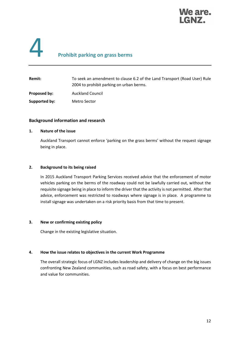

# 4 **Prohibit parking on grass berms**

| <b>Remit:</b> | To seek an amendment to clause 6.2 of the Land Transport (Road User) Rule<br>2004 to prohibit parking on urban berms. |
|---------------|-----------------------------------------------------------------------------------------------------------------------|
| Proposed by:  | <b>Auckland Council</b>                                                                                               |
| Supported by: | Metro Sector                                                                                                          |

#### **Background information and research**

#### **1. Nature of the issue**

Auckland Transport cannot enforce 'parking on the grass berms' without the request signage being in place.

#### **2. Background to its being raised**

In 2015 Auckland Transport Parking Services received advice that the enforcement of motor vehicles parking on the berms of the roadway could not be lawfully carried out, without the requisite signage being in place to inform the driver that the activity is not permitted. After that advice, enforcement was restricted to roadways where signage is in place. A programme to install signage was undertaken on a risk priority basis from that time to present.

#### **3. New or confirming existing policy**

Change in the existing legislative situation.

#### **4. How the issue relates to objectives in the current Work Programme**

The overall strategic focus of LGNZ includes leadership and delivery of change on the big issues confronting New Zealand communities, such as road safety, with a focus on best performance and value for communities.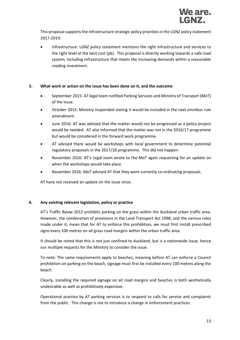

This proposal supports the Infrastructure strategic policy priorities in the LGNZ policy statement 2017-2019:

• Infrastructure: LGNZ policy statement mentions the right infrastructure and services to the right level at the best cost (p6). This proposal is directly working towards a safe road system, including infrastructure that meets the increasing demands within a reasonable roading investment.

#### **5. What work or action on the issue has been done on it, and the outcome**

- September 2015: AT legal team notified Parking Services and Ministry of Transport (MoT) of the issue.
- October 2015: Ministry responded stating it would be included in the next omnibus rule amendment.
- June 2016: AT was advised that the matter would not be progressed as a policy project would be needed. AT also informed that the matter was not in the 2016/17 programme but would be considered in the forward work programme.
- AT advised there would be workshops with local government to determine potential regulatory proposals in the 2017/18 programme. This did not happen.
- November 2016: AT's Legal team wrote to the MoT again requesting for an update on when the workshops would take place.
- November 2016: MoT advised AT that they were currently co-ordinating proposals.

AT have not received an update on the issue since.

#### **6. Any existing relevant legislation, policy or practice**

AT's Traffic Bylaw 2012 prohibits parking on the grass within the Auckland urban traffic area. However, the combination of provisions in the Land Transport Act 1998, and the various rules made under it, mean that for AT to enforce this prohibition, we must first install prescribed signs every 100 metres on all grass road margins within the urban traffic area.

It should be noted that this is not just confined to Auckland, but is a nationwide issue, hence our multiple requests for the Ministry to consider the issue.

To note: The same requirements apply to beaches, meaning before AT can enforce a Council prohibition on parking on the beach, signage must first be installed every 100 metres along the beach.

Clearly, installing the required signage on all road margins and beaches is both aesthetically undesirable as well as prohibitively expensive.

Operational practice by AT parking services is to respond to calls for service and complaints from the public. This change is not to introduce a change in enforcement practices.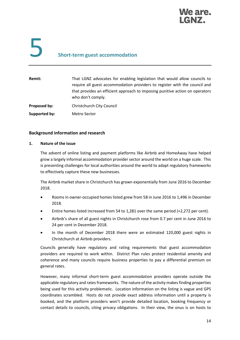

# 5 **Short-term guest accommodation**

| Remit:        | That LGNZ advocates for enabling legislation that would allow councils to<br>require all guest accommodation providers to register with the council and<br>that provides an efficient approach to imposing punitive action on operators<br>who don't comply. |
|---------------|--------------------------------------------------------------------------------------------------------------------------------------------------------------------------------------------------------------------------------------------------------------|
| Proposed by:  | Christchurch City Council                                                                                                                                                                                                                                    |
| Supported by: | Metro Sector                                                                                                                                                                                                                                                 |

#### **Background information and research**

#### **1. Nature of the issue**

The advent of online listing and payment platforms like Airbnb and HomeAway have helped grow a largely informal accommodation provider sector around the world on a huge scale. This is presenting challenges for local authorities around the world to adapt regulatory frameworks to effectively capture these new businesses.

The Airbnb market share in Christchurch has grown exponentially from June 2016 to December 2018.

- Rooms in owner-occupied homes listed grew from 58 in June 2016 to 1,496 in December 2018.
- Entire homes listed increased from 54 to 1,281 over the same period (+2,272 per cent).
- Airbnb's share of all guest nights in Christchurch rose from 0.7 per cent in June 2016 to 24 per cent in December 2018.
- In the month of December 2018 there were an estimated 120,000 guest nights in Christchurch at Airbnb providers.

Councils generally have regulatory and rating requirements that guest accommodation providers are required to work within. District Plan rules protect residential amenity and coherence and many councils require business properties to pay a differential premium on general rates.

However, many informal short-term guest accommodation providers operate outside the applicable regulatory and rates frameworks. The nature of the activity makes finding properties being used for this activity problematic. Location information on the listing is vague and GPS coordinates scrambled. Hosts do not provide exact address information until a property is booked, and the platform providers won't provide detailed location, booking frequency or contact details to councils, citing privacy obligations. In their view, the onus is on hosts to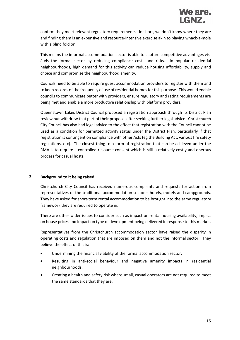confirm they meet relevant regulatory requirements. In short, we don't know where they are and finding them is an expensive and resource-intensive exercise akin to playing whack-a-mole with a blind fold on.

This means the informal accommodation sector is able to capture competitive advantages visà-vis the formal sector by reducing compliance costs and risks. In popular residential neighbourhoods, high demand for this activity can reduce housing affordability, supply and choice and compromise the neighbourhood amenity.

Councils need to be able to require guest accommodation providers to register with them and to keep records of the frequency of use of residential homes for this purpose. This would enable councils to communicate better with providers, ensure regulatory and rating requirements are being met and enable a more productive relationship with platform providers.

Queenstown Lakes District Council proposed a registration approach through its District Plan review but withdrew that part of their proposal after seeking further legal advice. Christchurch City Council has also had legal advice to the effect that registration with the Council cannot be used as a condition for permitted activity status under the District Plan, particularly if that registration is contingent on compliance with other Acts (eg the Building Act, various fire safety regulations, etc). The closest thing to a form of registration that can be achieved under the RMA is to require a controlled resource consent which is still a relatively costly and onerous process for casual hosts.

#### **2. Background to it being raised**

Christchurch City Council has received numerous complaints and requests for action from representatives of the traditional accommodation sector – hotels, motels and campgrounds. They have asked for short-term rental accommodation to be brought into the same regulatory framework they are required to operate in.

There are other wider issues to consider such as impact on rental housing availability, impact on house prices and impact on type of development being delivered in response to this market.

Representatives from the Christchurch accommodation sector have raised the disparity in operating costs and regulation that are imposed on them and not the informal sector. They believe the effect of this is:

- Undermining the financial viability of the formal accommodation sector.
- Resulting in anti-social behaviour and negative amenity impacts in residential neighbourhoods.
- Creating a health and safety risk where small, casual operators are not required to meet the same standards that they are.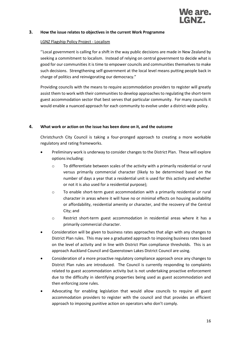

#### **3. How the issue relates to objectives in the current Work Programme**

#### LGNZ Flagship Policy Project - Localism

''Local government is calling for a shift in the way public decisions are made in New Zealand by seeking a commitment to localism. Instead of relying on central government to decide what is good for our communities it is time to empower councils and communities themselves to make such decisions. Strengthening self-government at the local level means putting people back in charge of politics and reinvigorating our democracy."

Providing councils with the means to require accommodation providers to register will greatly assist them to work with their communities to develop approaches to regulating the short-term guest accommodation sector that best serves that particular community. For many councils it would enable a nuanced approach for each community to evolve under a district-wide policy.

#### **4. What work or action on the issue has been done on it, and the outcome**

Christchurch City Council is taking a four-pronged approach to creating a more workable regulatory and rating frameworks.

- Preliminary work is underway to consider changes to the District Plan. These will explore options including:
	- $\circ$  To differentiate between scales of the activity with a primarily residential or rural versus primarily commercial character (likely to be determined based on the number of days a year that a residential unit is used for this activity and whether or not it is also used for a residential purpose);
	- o To enable short-term guest accommodation with a primarily residential or rural character in areas where it will have no or minimal effects on housing availability or affordability, residential amenity or character, and the recovery of the Central City; and
	- o Restrict short-term guest accommodation in residential areas where it has a primarily commercial character.
- Consideration will be given to business rates approaches that align with any changes to District Plan rules. This may see a graduated approach to imposing business rates based on the level of activity and in line with District Plan compliance thresholds. This is an approach Auckland Council and Queenstown Lakes District Council are using.
- Consideration of a more proactive regulatory compliance approach once any changes to District Plan rules are introduced. The Council is currently responding to complaints related to guest accommodation activity but is not undertaking proactive enforcement due to the difficulty in identifying properties being used as guest accommodation and then enforcing zone rules.
- Advocating for enabling legislation that would allow councils to require all guest accommodation providers to register with the council and that provides an efficient approach to imposing punitive action on operators who don't comply.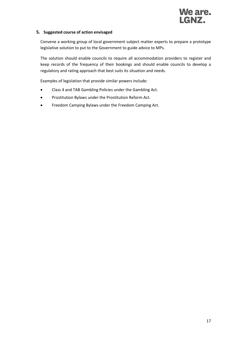

#### **5. Suggested course of action envisaged**

Convene a working group of local government subject matter experts to prepare a prototype legislative solution to put to the Government to guide advice to MPs.

The solution should enable councils to require all accommodation providers to register and keep records of the frequency of their bookings and should enable councils to develop a regulatory and rating approach that best suits its situation and needs.

Examples of legislation that provide similar powers include:

- Class 4 and TAB Gambling Policies under the Gambling Act.
- Prostitution Bylaws under the Prostitution Reform Act.
- Freedom Camping Bylaws under the Freedom Camping Act.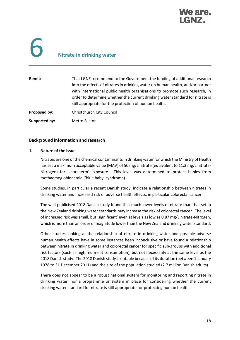

# 6 **Nitrate in drinking water**

| Remit:        | That LGNZ recommend to the Government the funding of additional research<br>into the effects of nitrates in drinking water on human health, and/or partner<br>with international public health organisations to promote such research, in<br>order to determine whether the current drinking water standard for nitrate is<br>still appropriate for the protection of human health. |
|---------------|-------------------------------------------------------------------------------------------------------------------------------------------------------------------------------------------------------------------------------------------------------------------------------------------------------------------------------------------------------------------------------------|
| Proposed by:  | <b>Christchurch City Council</b>                                                                                                                                                                                                                                                                                                                                                    |
| Supported by: | Metro Sector                                                                                                                                                                                                                                                                                                                                                                        |

#### **Background information and research**

#### **1. Nature of the issue**

Nitrates are one of the chemical contaminants in drinking water for which the Ministry of Health has set a maximum acceptable value (MAV) of 50 mg/L nitrate (equivalent to 11.3 mg/L nitrate-Nitrogen) for 'short-term' exposure. This level was determined to protect babies from methaemoglobinaemia ('blue baby' syndrome).

Some studies, in particular a recent Danish study, indicate a relationship between nitrates in drinking water and increased risk of adverse health effects, in particular colorectal cancer.

The well-publicised 2018 Danish study found that much lower levels of nitrate than that set in the New Zealand drinking water standards may increase the risk of colorectal cancer. The level of increased risk was small, but 'significant' even at levels as low as 0.87 mg/L nitrate-Nitrogen, which is more than an order of magnitude lower than the New Zealand drinking water standard.

Other studies looking at the relationship of nitrate in drinking water and possible adverse human health effects have in some instances been inconclusive or have found a relationship between nitrate in drinking water and colorectal cancer for specific sub-groups with additional risk factors (such as high red meat consumption), but not necessarily at the same level as the 2018 Danish study. The 2018 Danish study is notable because of its duration (between 1 January 1978 to 31 December 2011) and the size of the population studied (2.7 million Danish adults).

There does not appear to be a robust national system for monitoring and reporting nitrate in drinking water, nor a programme or system in place for considering whether the current drinking water standard for nitrate is still appropriate for protecting human health.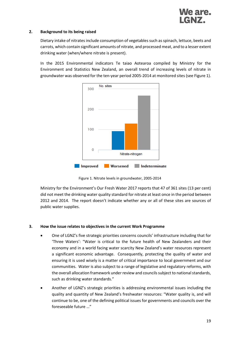#### **2. Background to its being raised**

Dietary intake of nitrates include consumption of vegetables such as spinach, lettuce, beets and carrots, which contain significant amounts of nitrate, and processed meat, and to a lesser extent drinking water (when/where nitrate is present).

In the 2015 Environmental indicators Te taiao Aotearoa compiled by Ministry for the Environment and Statistics New Zealand, an overall trend of increasing levels of nitrate in groundwater was observed for the ten-year period 2005-2014 at monitored sites (see Figure 1).



Figure 1. Nitrate levels in groundwater, 2005-2014

Ministry for the Environment's Our Fresh Water 2017 reports that 47 of 361 sites (13 per cent) did not meet the drinking water quality standard for nitrate at least once in the period between 2012 and 2014. The report doesn't indicate whether any or all of these sites are sources of public water supplies.

#### **3. How the issue relates to objectives in the current Work Programme**

- One of LGNZ's five strategic priorities concerns councils' infrastructure including that for 'Three Waters': "Water is critical to the future health of New Zealanders and their economy and in a world facing water scarcity New Zealand's water resources represent a significant economic advantage. Consequently, protecting the quality of water and ensuring it is used wisely is a matter of critical importance to local government and our communities. Water is also subject to a range of legislative and regulatory reforms, with the overall allocation framework under review and councils subject to national standards, such as drinking water standards."
- Another of LGNZ's strategic priorities is addressing environmental issues including the quality and quantity of New Zealand's freshwater resources: "Water quality is, and will continue to be, one of the defining political issues for governments and councils over the foreseeable future …"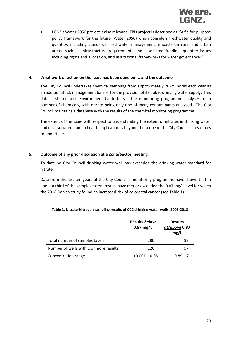

• LGNZ's Water 2050 project is also relevant. This project is described as: "A fit-for-purpose policy framework for the future (Water 2050) which considers freshwater quality and quantity: including standards, freshwater management, impacts on rural and urban areas, such as infrastructure requirements and associated funding, quantity issues including rights and allocation, and institutional frameworks for water governance."

#### **4. What work or action on the issue has been done on it, and the outcome**

The City Council undertakes chemical sampling from approximately 20-25 bores each year as an additional risk management barrier for the provision of its public drinking water supply. This data is shared with Environment Canterbury. The monitoring programme analyses for a number of chemicals, with nitrate being only one of many contaminants analysed. The City Council maintains a database with the results of the chemical monitoring programme.

The extent of the issue with respect to understanding the extent of nitrates in drinking water and its associated human health implication is beyond the scope of the City Council's resources to undertake.

#### **5. Outcome of any prior discussion at a Zone/Sector meeting**

To date no City Council drinking water well has exceeded the drinking water standard for nitrate.

Data from the last ten years of the City Council's monitoring programme have shown that in about a third of the samples taken, results have met or exceeded the 0.87 mg/L level for which the 2018 Danish study found an increased risk of colorectal cancer (see Table 1).

|                                        | Results below<br>$0.87$ mg/L | <b>Results</b><br>at/above 0.87<br>mg/L |
|----------------------------------------|------------------------------|-----------------------------------------|
| Total number of samples taken          | 280                          | 93                                      |
| Number of wells with 1 or more results | 126                          | 57                                      |
| Concentration range                    | $< 0.001 - 0.85$             | $0.89 - 7.1$                            |

| Table 1. Nitrate-Nitrogen sampling results of CCC drinking water wells, 2008-2018 |  |  |
|-----------------------------------------------------------------------------------|--|--|
|                                                                                   |  |  |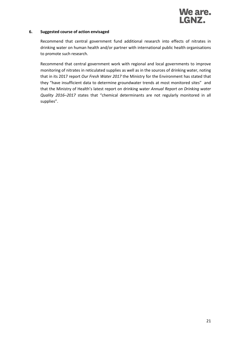

#### **6. Suggested course of action envisaged**

Recommend that central government fund additional research into effects of nitrates in drinking water on human health and/or partner with international public health organisations to promote such research.

Recommend that central government work with regional and local governments to improve monitoring of nitrates in reticulated supplies as well as in the sources of drinking water, noting that in its 2017 report *Our Fresh Water 2017* the Ministry for the Environment has stated that they "have insufficient data to determine groundwater trends at most monitored sites" and that the Ministry of Health's latest report on drinking water *Annual Report on Drinking water Quality 2016–2017* states that "chemical determinants are not regularly monitored in all supplies".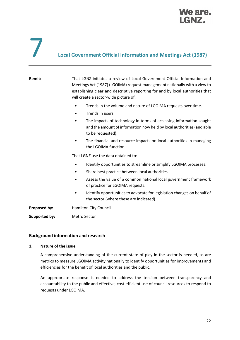

### 7 **Local Government Official Information and Meetings Act (1987)**

| Remit:               | That LGNZ initiates a review of Local Government Official Information and<br>Meetings Act (1987) (LGOIMA) request management nationally with a view to<br>establishing clear and descriptive reporting for and by local authorities that<br>will create a sector-wide picture of: |
|----------------------|-----------------------------------------------------------------------------------------------------------------------------------------------------------------------------------------------------------------------------------------------------------------------------------|
|                      | Trends in the volume and nature of LGOIMA requests over time.<br>$\bullet$<br>Trends in users.<br>٠                                                                                                                                                                               |
|                      | The impacts of technology in terms of accessing information sought<br>٠<br>and the amount of information now held by local authorities (and able<br>to be requested).                                                                                                             |
|                      | The financial and resource impacts on local authorities in managing<br>٠<br>the LGOIMA function.                                                                                                                                                                                  |
|                      | That LGNZ use the data obtained to:                                                                                                                                                                                                                                               |
|                      | Identify opportunities to streamline or simplify LGOIMA processes.<br>$\bullet$<br>Share best practice between local authorities.<br>Assess the value of a common national local government framework                                                                             |
|                      | of practice for LGOIMA requests.<br>Identify opportunities to advocate for legislation changes on behalf of<br>the sector (where these are indicated).                                                                                                                            |
| Proposed by:         | <b>Hamilton City Council</b>                                                                                                                                                                                                                                                      |
| <b>Supported by:</b> | <b>Metro Sector</b>                                                                                                                                                                                                                                                               |

#### **Background information and research**

#### **1. Nature of the issue**

A comprehensive understanding of the current state of play in the sector is needed, as are metrics to measure LGOIMA activity nationally to identify opportunities for improvements and efficiencies for the benefit of local authorities and the public.

An appropriate response is needed to address the tension between transparency and accountability to the public and effective, cost-efficient use of council resources to respond to requests under LGOIMA.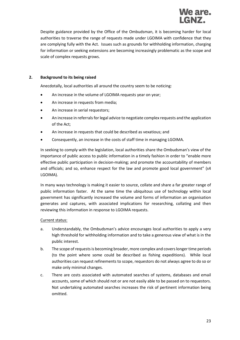

Despite guidance provided by the Office of the Ombudsman, it is becoming harder for local authorities to traverse the range of requests made under LGOIMA with confidence that they are complying fully with the Act. Issues such as grounds for withholding information, charging for information or seeking extensions are becoming increasingly problematic as the scope and scale of complex requests grows.

#### **2. Background to its being raised**

Anecdotally, local authorities all around the country seem to be noticing:

- An increase in the volume of LGOIMA requests year on year;
- An increase in requests from media;
- An increase in serial requestors;
- An increase in referrals for legal advice to negotiate complex requests and the application of the Act;
- An increase in requests that could be described as vexatious; and
- Consequently, an increase in the costs of staff time in managing LGOIMA.

In seeking to comply with the legislation, local authorities share the Ombudsman's view of the importance of public access to public information in a timely fashion in order to "enable more effective public participation in decision-making; and promote the accountability of members and officials; and so, enhance respect for the law and promote good local government" (s4 LGOIMA).

In many ways technology is making it easier to source, collate and share a far greater range of public information faster. At the same time the ubiquitous use of technology within local government has significantly increased the volume and forms of information an organisation generates and captures, with associated implications for researching, collating and then reviewing this information in response to LGOIMA requests.

#### Current status:

- a. Understandably, the Ombudsman's advice encourages local authorities to apply a very high threshold for withholding information and to take a generous view of what is in the public interest.
- b. The scope of requests is becoming broader, more complex and covers longer time periods (to the point where some could be described as fishing expeditions). While local authorities can request refinements to scope, requestors do not always agree to do so or make only minimal changes.
- c. There are costs associated with automated searches of systems, databases and email accounts, some of which should not or are not easily able to be passed on to requestors. Not undertaking automated searches increases the risk of pertinent information being omitted.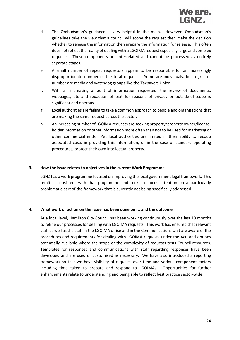- d. The Ombudsman's guidance is very helpful in the main. However, Ombudsman's guidelines take the view that a council will scope the request then make the decision whether to release the information then prepare the information for release. This often does not reflect the reality of dealing with a LGOIMA request especially large and complex requests. These components are interrelated and cannot be processed as entirely separate stages.
- e. A small number of repeat requestors appear to be responsible for an increasingly disproportionate number of the total requests. Some are individuals, but a greater number are media and watchdog groups like the Taxpayers Union.
- f. With an increasing amount of information requested, the review of documents, webpages, etc and redaction of text for reasons of privacy or outside-of-scope is significant and onerous.
- g. Local authorities are failing to take a common approach to people and organisations that are making the same request across the sector.
- h. An increasing number of LGOIMA requests are seeking property/property owner/licenseholder information or other information more often than not to be used for marketing or other commercial ends. Yet local authorities are limited in their ability to recoup associated costs in providing this information, or in the case of standard operating procedures, protect their own intellectual property.

#### **3. How the issue relates to objectives in the current Work Programme**

LGNZ has a work programme focused on improving the local government legal framework. This remit is consistent with that programme and seeks to focus attention on a particularly problematic part of the framework that is currently not being specifically addressed.

#### **4. What work or action on the issue has been done on it, and the outcome**

At a local level, Hamilton City Council has been working continuously over the last 18 months to refine our processes for dealing with LGOIMA requests. This work has ensured that relevant staff as well as the staff in the LGOIMA office and in the Communications Unit are aware of the procedures and requirements for dealing with LGOIMA requests under the Act, and options potentially available where the scope or the complexity of requests tests Council resources. Templates for responses and communications with staff regarding responses have been developed and are used or customised as necessary. We have also introduced a reporting framework so that we have visibility of requests over time and various component factors including time taken to prepare and respond to LGOIMAs. Opportunities for further enhancements relate to understanding and being able to reflect best practice sector-wide.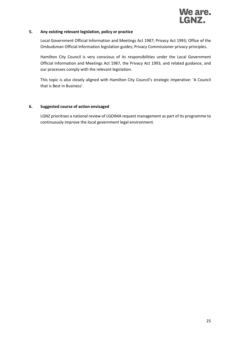

#### **5. Any existing relevant legislation, policy or practice**

Local Government Official Information and Meetings Act 1987; Privacy Act 1993; Office of the Ombudsman Official Information legislation guides; Privacy Commissioner privacy principles.

Hamilton City Council is very conscious of its responsibilities under the Local Government Official Information and Meetings Act 1987, the Privacy Act 1993, and related guidance, and our processes comply with the relevant legislation.

This topic is also closely aligned with Hamilton City Council's strategic imperative: 'A Council that is Best in Business'.

#### **6. Suggested course of action envisaged**

LGNZ prioritises a national review of LGOIMA request management as part of its programme to continuously improve the local government legal environment.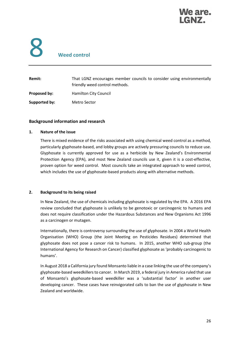

# 8 **Weed control**

| Remit:        | That LGNZ encourages member councils to consider using environmentally<br>friendly weed control methods. |
|---------------|----------------------------------------------------------------------------------------------------------|
| Proposed by:  | Hamilton City Council                                                                                    |
| Supported by: | Metro Sector                                                                                             |

#### **Background information and research**

#### **1. Nature of the issue**

There is mixed evidence of the risks associated with using chemical weed control as a method, particularly glyphosate-based, and lobby groups are actively pressuring councils to reduce use. Glyphosate is currently approved for use as a herbicide by New Zealand's Environmental Protection Agency (EPA), and most New Zealand councils use it, given it is a cost-effective, proven option for weed control. Most councils take an integrated approach to weed control, which includes the use of glyphosate-based products along with alternative methods.

#### **2. Background to its being raised**

In New Zealand, the use of chemicals including glyphosate is regulated by the EPA. A 2016 EPA review concluded that glyphosate is unlikely to be genotoxic or carcinogenic to humans and does not require classification under the Hazardous Substances and New Organisms Act 1996 as a carcinogen or mutagen.

Internationally, there is controversy surrounding the use of glyphosate. In 2004 a World Health Organisation (WHO) Group (the Joint Meeting on Pesticides Residues) determined that glyphosate does not pose a cancer risk to humans. In 2015, another WHO sub-group (the International Agency for Research on Cancer) classified glyphosate as 'probably carcinogenic to humans'.

In August 2018 a California jury found Monsanto liable in a case linking the use of the company's glyphosate-based weedkillers to cancer. In March 2019, a federal jury in America ruled that use of Monsanto's glyphosate-based weedkiller was a 'substantial factor' in another user developing cancer. These cases have reinvigorated calls to ban the use of glyphosate in New Zealand and worldwide.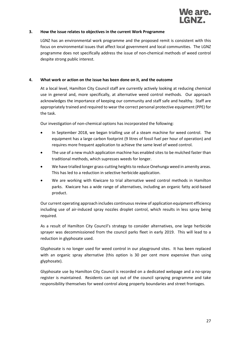

#### **3. How the issue relates to objectives in the current Work Programme**

LGNZ has an environmental work programme and the proposed remit is consistent with this focus on environmental issues that affect local government and local communities. The LGNZ programme does not specifically address the issue of non-chemical methods of weed control despite strong public interest.

#### **4. What work or action on the issue has been done on it, and the outcome**

At a local level, Hamilton City Council staff are currently actively looking at reducing chemical use in general and, more specifically, at alternative weed control methods. Our approach acknowledges the importance of keeping our community and staff safe and healthy. Staff are appropriately trained and required to wear the correct personal protective equipment (PPE) for the task.

Our investigation of non-chemical options has incorporated the following:

- In September 2018, we began trialling use of a steam machine for weed control. The equipment has a large carbon footprint (9 litres of fossil fuel per hour of operation) and requires more frequent application to achieve the same level of weed control.
- The use of a new mulch application machine has enabled sites to be mulched faster than traditional methods, which supresses weeds for longer.
- We have trialled longer grass-cutting heights to reduce Onehunga weed in amenity areas. This has led to a reduction in selective herbicide application.
- We are working with Kiwicare to trial alternative weed control methods in Hamilton parks. Kiwicare has a wide range of alternatives, including an organic fatty acid-based product.

Our current operating approach includes continuous review of application equipment efficiency including use of air-induced spray nozzles droplet control, which results in less spray being required.

As a result of Hamilton City Council's strategy to consider alternatives, one large herbicide sprayer was decommissioned from the council parks fleet in early 2019. This will lead to a reduction in glyphosate used.

Glyphosate is no longer used for weed control in our playground sites. It has been replaced with an organic spray alternative (this option is 30 per cent more expensive than using glyphosate).

Glyphosate use by Hamilton City Council is recorded on a dedicated webpage and a no-spray register is maintained. Residents can opt out of the council spraying programme and take responsibility themselves for weed control along property boundaries and street frontages.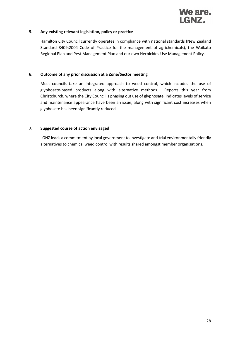

#### **5. Any existing relevant legislation, policy or practice**

Hamilton City Council currently operates in compliance with national standards (New Zealand Standard 8409:2004 Code of Practice for the management of agrichemicals), the Waikato Regional Plan and Pest Management Plan and our own Herbicides Use Management Policy.

#### **6. Outcome of any prior discussion at a Zone/Sector meeting**

Most councils take an integrated approach to weed control, which includes the use of glyphosate-based products along with alternative methods. Reports this year from Christchurch, where the City Council is phasing out use of glyphosate, indicates levels of service and maintenance appearance have been an issue, along with significant cost increases when glyphosate has been significantly reduced.

#### **7. Suggested course of action envisaged**

LGNZ leads a commitment by local government to investigate and trial environmentally friendly alternatives to chemical weed control with results shared amongst member organisations.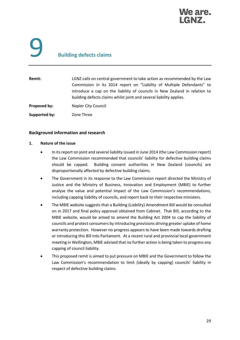

# 9 **Building defects claims**

| Remit:        | LGNZ calls on central government to take action as recommended by the Law<br>Commission in its 2014 report on "Liability of Multiple Defendants" to<br>introduce a cap on the liability of councils in New Zealand in relation to<br>building defects claims whilst joint and several liability applies. |
|---------------|----------------------------------------------------------------------------------------------------------------------------------------------------------------------------------------------------------------------------------------------------------------------------------------------------------|
| Proposed by:  | Napier City Council                                                                                                                                                                                                                                                                                      |
| Supported by: | Zone Three                                                                                                                                                                                                                                                                                               |

#### **Background information and research**

#### **1. Nature of the issue**

- In its report on joint and several liability issued in June 2014 (the Law Commission report) the Law Commission recommended that councils' liability for defective building claims should be capped. Building consent authorities in New Zealand (councils) are disproportionally affected by defective building claims.
- The Government in its response to the Law Commission report directed the Ministry of Justice and the Ministry of Business, Innovation and Employment (MBIE) to further analyse the value and potential impact of the Law Commission's recommendations, including capping liability of councils, and report back to their respective ministers.
- The MBIE website suggests that a Building (Liability) Amendment Bill would be consulted on in 2017 and final policy approval obtained from Cabinet. That Bill, according to the MBIE website, would be aimed to amend the Building Act 2004 to cap the liability of councils and protect consumers by introducing provisions driving greater uptake of home warranty protection. However no progress appears to have been made towards drafting or introducing this Bill into Parliament. At a recent rural and provincial local government meeting in Wellington, MBIE advised that no further action is being taken to progress any capping of council liability.
- This proposed remit is aimed to put pressure on MBIE and the Government to follow the Law Commission's recommendation to limit (ideally by capping) councils' liability in respect of defective building claims.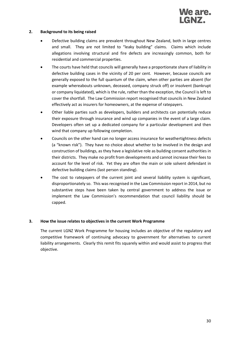

#### **2. Background to its being raised**

- Defective building claims are prevalent throughout New Zealand, both in large centres and small. They are not limited to "leaky building" claims. Claims which include allegations involving structural and fire defects are increasingly common, both for residential and commercial properties.
- The courts have held that councils will generally have a proportionate share of liability in defective building cases in the vicinity of 20 per cent. However, because councils are generally exposed to the full quantum of the claim, when other parties are absent (for example whereabouts unknown, deceased, company struck off) or insolvent (bankrupt or company liquidated), which is the rule, rather than the exception, the Council is left to cover the shortfall. The Law Commission report recognised that councils in New Zealand effectively act as insurers for homeowners, at the expense of ratepayers.
- Other liable parties such as developers, builders and architects can potentially reduce their exposure through insurance and wind up companies in the event of a large claim. Developers often set up a dedicated company for a particular development and then wind that company up following completion.
- Councils on the other hand can no longer access insurance for weathertightness defects (a "known risk"). They have no choice about whether to be involved in the design and construction of buildings, as they have a legislative role as building consent authorities in their districts. They make no profit from developments and cannot increase their fees to account for the level of risk. Yet they are often the main or sole solvent defendant in defective building claims (last person standing).
- The cost to ratepayers of the current joint and several liability system is significant, disproportionately so. This was recognised in the Law Commission report in 2014, but no substantive steps have been taken by central government to address the issue or implement the Law Commission's recommendation that council liability should be capped.

#### **3. How the issue relates to objectives in the current Work Programme**

The current LGNZ Work Programme for housing includes an objective of the regulatory and competitive framework of continuing advocacy to government for alternatives to current liability arrangements. Clearly this remit fits squarely within and would assist to progress that objective.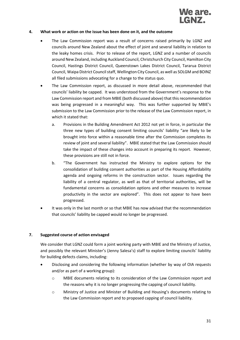

#### **4. What work or action on the issue has been done on it, and the outcome**

- The Law Commission report was a result of concerns raised primarily by LGNZ and councils around New Zealand about the effect of joint and several liability in relation to the leaky homes crisis. Prior to release of the report, LGNZ and a number of councils around New Zealand, including Auckland Council, Christchurch City Council, Hamilton City Council, Hastings District Council, Queenstown Lakes District Council, Tararua District Council, Waipa District Council staff, Wellington City Council, as well as SOLGM and BOINZ all filed submissions advocating for a change to the status quo.
- The Law Commission report, as discussed in more detail above, recommended that councils' liability be capped. It was understood from the Government's response to the Law Commission report and from MBIE (both discussed above) that this recommendation was being progressed in a meaningful way. This was further supported by MBIE's submission to the Law Commission prior to the release of the Law Commission report, in which it stated that:
	- a. Provisions in the Building Amendment Act 2012 not yet in force, in particular the three new types of building consent limiting councils' liability "are likely to be brought into force within a reasonable time after the Commission completes its review of joint and several liability". MBIE stated that the Law Commission should take the impact of these changes into account in preparing its report. However, these provisions are still not in force.
	- b. "The Government has instructed the Ministry to explore options for the consolidation of building consent authorities as part of the Housing Affordability agenda and ongoing reforms in the construction sector. Issues regarding the liability of a central regulator, as well as that of territorial authorities, will be fundamental concerns as consolidation options and other measures to increase productivity in the sector are explored". This does not appear to have been progressed.
- It was only in the last month or so that MBIE has now advised that the recommendation that councils' liability be capped would no longer be progressed.

#### **7. Suggested course of action envisaged**

We consider that LGNZ could form a joint working party with MBIE and the Ministry of Justice, and possibly the relevant Minister's (Jenny Salesa's) staff to explore limiting councils' liability for building defects claims, including:

- Disclosing and considering the following information (whether by way of OIA requests and/or as part of a working group):
	- o MBIE documents relating to its consideration of the Law Commission report and the reasons why it is no longer progressing the capping of council liability.
	- o Ministry of Justice and Minister of Building and Housing's documents relating to the Law Commission report and to proposed capping of council liability.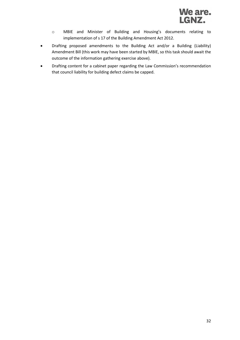- o MBIE and Minister of Building and Housing's documents relating to implementation of s 17 of the Building Amendment Act 2012.
- Drafting proposed amendments to the Building Act and/or a Building (Liability) Amendment Bill (this work may have been started by MBIE, so this task should await the outcome of the information gathering exercise above).
- Drafting content for a cabinet paper regarding the Law Commission's recommendation that council liability for building defect claims be capped.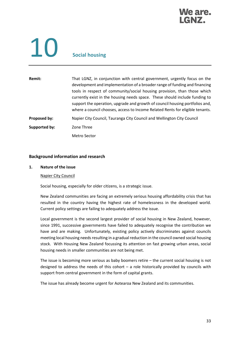### We are.

# 10 **Social housing**

#### **Remit:** That LGNZ, in conjunction with central government, urgently focus on the development and implementation of a broader range of funding and financing tools in respect of community/social housing provision, than those which currently exist in the housing needs space. These should include funding to support the operation, upgrade and growth of council housing portfolios and, where a council chooses, access to Income Related Rents for eligible tenants. **Proposed by:** Napier City Council, Tauranga City Council and Wellington City Council **Supported by:** Zone Three Metro Sector

#### **Background information and research**

#### **1. Nature of the issue**

#### Napier City Council

Social housing, especially for older citizens, is a strategic issue.

New Zealand communities are facing an extremely serious housing affordability crisis that has resulted in the country having the highest rate of homelessness in the developed world. Current policy settings are failing to adequately address the issue.

Local government is the second largest provider of social housing in New Zealand, however, since 1991, successive governments have failed to adequately recognise the contribution we have and are making. Unfortunately, existing policy actively discriminates against councils meeting local housing needs resulting in a gradual reduction in the council owned social housing stock. With Housing New Zealand focussing its attention on fast growing urban areas, social housing needs in smaller communities are not being met.

The issue is becoming more serious as baby boomers retire – the current social housing is not designed to address the needs of this cohort – a role historically provided by councils with support from central government in the form of capital grants.

The issue has already become urgent for Aotearoa New Zealand and its communities.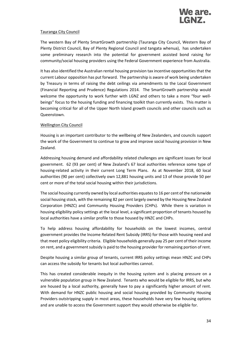

#### Tauranga City Council

The western Bay of Plenty SmartGrowth partnership (Tauranga City Council, Western Bay of Plenty District Council, Bay of Plenty Regional Council and tangata whenua), has undertaken some preliminary research into the potential for government assisted bond raising for community/social housing providers using the Federal Government experience from Australia.

It has also identified the Australian rental housing provision tax incentive opportunities that the current Labour opposition has put forward. The partnership is aware of work being undertaken by Treasury in terms of raising the debt ceilings via amendments to the Local Government (Financial Reporting and Prudence) Regulations 2014. The SmartGrowth partnership would welcome the opportunity to work further with LGNZ and others to take a more "four wellbeings" focus to the housing funding and financing toolkit than currently exists. This matter is becoming critical for all of the Upper North Island growth councils and other councils such as Queenstown.

#### Wellington City Council

Housing is an important contributor to the wellbeing of New Zealanders, and councils support the work of the Government to continue to grow and improve social housing provision in New Zealand.

Addressing housing demand and affordability related challenges are significant issues for local government. 62 (93 per cent) of New Zealand's 67 local authorities reference some type of housing-related activity in their current Long Term Plans. As at November 2018, 60 local authorities (90 per cent) collectively own 12,881 housing units and 13 of those provide 50 per cent or more of the total social housing within their jurisdictions.

The social housing currently owned by local authorities equates to 16 per cent of the nationwide social housing stock, with the remaining 82 per cent largely owned by the Housing New Zealand Corporation (HNZC) and Community Housing Providers (CHPs). While there is variation in housing eligibility policy settings at the local level, a significant proportion of tenants housed by local authorities have a similar profile to those housed by HNZC and CHPs.

To help address housing affordability for households on the lowest incomes, central government provides the Income Related Rent Subsidy (IRRS) for those with housing need and that meet policy eligibility criteria. Eligible households generally pay 25 per cent of their income on rent, and a government subsidy is paid to the housing provider for remaining portion of rent.

Despite housing a similar group of tenants, current IRRS policy settings mean HNZC and CHPs can access the subsidy for tenants but local authorities cannot.

This has created considerable inequity in the housing system and is placing pressure on a vulnerable population group in New Zealand. Tenants who would be eligible for IRRS, but who are housed by a local authority, generally have to pay a significantly higher amount of rent. With demand for HNZC public housing and social housing provided by Community Housing Providers outstripping supply in most areas, these households have very few housing options and are unable to access the Government support they would otherwise be eligible for.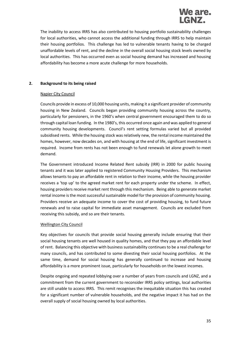

The inability to access IRRS has also contributed to housing portfolio sustainability challenges for local authorities, who cannot access the additional funding through IRRS to help maintain their housing portfolios. This challenge has led to vulnerable tenants having to be charged unaffordable levels of rent, and the decline in the overall social housing stock levels owned by local authorities. This has occurred even as social housing demand has increased and housing affordability has become a more acute challenge for more households.

#### **2. Background to its being raised**

#### Napier City Council

Councils provide in excess of 10,000 housing units, making it a significant provider of community housing in New Zealand. Councils began providing community housing across the country, particularly for pensioners, in the 1960's when central government encouraged them to do so through capital loan funding. In the 1980's, this occurred once again and was applied to general community housing developments. Council's rent setting formulas varied but all provided subsidised rents. While the housing stock was relatively new, the rental income maintained the homes, however, now decades on, and with housing at the end of life, significant investment is required. Income from rents has not been enough to fund renewals let alone growth to meet demand.

The Government introduced Income Related Rent subsidy (IRR) in 2000 for public housing tenants and it was later applied to registered Community Housing Providers. This mechanism allows tenants to pay an affordable rent in relation to their income, while the housing provider receives a 'top up' to the agreed market rent for each property under the scheme. In effect, housing providers receive market rent through this mechanism. Being able to generate market rental income is the most successful sustainable model for the provision of community housing. Providers receive an adequate income to cover the cost of providing housing, to fund future renewals and to raise capital for immediate asset management. Councils are excluded from receiving this subsidy, and so are their tenants.

#### Wellington City Council

Key objectives for councils that provide social housing generally include ensuring that their social housing tenants are well housed in quality homes, and that they pay an affordable level of rent. Balancing this objective with business sustainability continues to be a real challenge for many councils, and has contributed to some divesting their social housing portfolios. At the same time, demand for social housing has generally continued to increase and housing affordability is a more prominent issue, particularly for households on the lowest incomes.

Despite ongoing and repeated lobbying over a number of years from councils and LGNZ, and a commitment from the current government to reconsider IRRS policy settings, local authorities are still unable to access IRRS. This remit recognises the inequitable situation this has created for a significant number of vulnerable households, and the negative impact it has had on the overall supply of social housing owned by local authorities.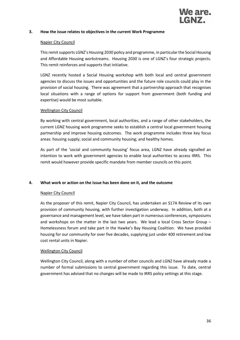#### **3. How the issue relates to objectives in the current Work Programme**

#### Napier City Council

This remit supports LGNZ's Housing 2030 policy and programme, in particular the Social Housing and Affordable Housing workstreams. Housing 2030 is one of LGNZ's four strategic projects. This remit reinforces and supports that initiative.

LGNZ recently hosted a Social Housing workshop with both local and central government agencies to discuss the issues and opportunities and the future role councils could play in the provision of social housing. There was agreement that a partnership approach that recognises local situations with a range of options for support from government (both funding and expertise) would be most suitable.

#### Wellington City Council

By working with central government, local authorities, and a range of other stakeholders, the current LGNZ housing work programme seeks to establish a central local government housing partnership and improve housing outcomes. The work programme includes three key focus areas: housing supply; social and community housing; and healthy homes.

As part of the 'social and community housing' focus area, LGNZ have already signalled an intention to work with government agencies to enable local authorities to access IRRS. This remit would however provide specific mandate from member councils on this point.

#### **4. What work or action on the issue has been done on it, and the outcome**

#### Napier City Council

As the proposer of this remit, Napier City Council, has undertaken an S17A Review of its own provision of community housing, with further investigation underway. In addition, both at a governance and management level, we have taken part in numerous conferences, symposiums and workshops on the matter in the last two years. We lead a local Cross Sector Group – Homelessness forum and take part in the Hawke's Bay Housing Coalition. We have provided housing for our community for over five decades, supplying just under 400 retirement and low cost rental units in Napier.

#### Wellington City Council

Wellington City Council, along with a number of other councils and LGNZ have already made a number of formal submissions to central government regarding this issue. To date, central government has advised that no changes will be made to IRRS policy settings at this stage.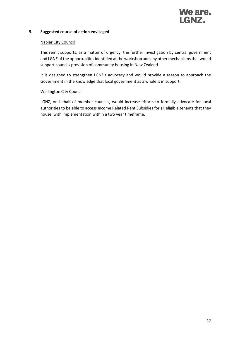

### **5. Suggested course of action envisaged**

### Napier City Council

This remit supports, as a matter of urgency, the further investigation by central government and LGNZ of the opportunities identified at the workshop and any other mechanisms that would support councils provision of community housing in New Zealand.

It is designed to strengthen LGNZ's advocacy and would provide a reason to approach the Government in the knowledge that local government as a whole is in support.

### Wellington City Council

LGNZ, on behalf of member councils, would increase efforts to formally advocate for local authorities to be able to access Income Related Rent Subsidies for all eligible tenants that they house, with implementation within a two year timeframe.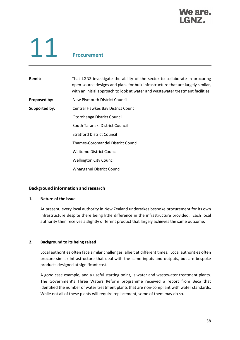### We are. GN7.

# 11 **Procurement**

**Remit:** That LGNZ investigate the ability of the sector to collaborate in procuring open-source designs and plans for bulk infrastructure that are largely similar, with an initial approach to look at water and wastewater treatment facilities.

- **Proposed by:** New Plymouth District Council
- **Supported by:** Central Hawkes Bay District Council
	- Otorohanga District Council
		- South Taranaki District Council
			- Stratford District Council
		- Thames-Coromandel District Council
		- Waitomo District Council
		- Wellington City Council
		- Whanganui District Council

### **Background information and research**

### **1. Nature of the issue**

At present, every local authority in New Zealand undertakes bespoke procurement for its own infrastructure despite there being little difference in the infrastructure provided. Each local authority then receives a slightly different product that largely achieves the same outcome.

### **2. Background to its being raised**

Local authorities often face similar challenges, albeit at different times. Local authorities often procure similar infrastructure that deal with the same inputs and outputs, but are bespoke products designed at significant cost.

A good case example, and a useful starting point, is water and wastewater treatment plants. The Government's Three Waters Reform programme received a report from Beca that identified the number of water treatment plants that are non-compliant with water standards. While not all of these plants will require replacement, some of them may do so.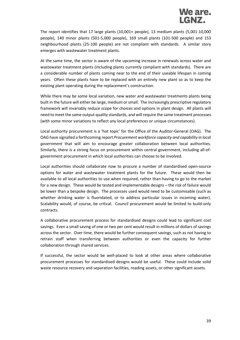The report identifies that 17 large plants (10,001+ people), 13 medium plants (5,001-10,000 people), 140 minor plants (501-5,000 people), 169 small plants (101-500 people) and 153 neighbourhood plants (25-100 people) are not compliant with standards. A similar story emerges with wastewater treatment plants.

At the same time, the sector is aware of the upcoming increase in renewals across water and wastewater treatment plants (including plants currently compliant with standards). There are a considerable number of plants coming near to the end of their useable lifespan in coming years. Often these plants have to be replaced with an entirely new plant so as to keep the existing plant operating during the replacement's construction.

While there may be some local variation, new water and wastewater treatments plants being built in the future will either be large, medium or small. The increasingly prescriptive regulatory framework will invariably reduce scope for choices and options in plant design. All plants will need to meet the same output quality standards, and will require the same treatment processes (with some minor variations to reflect any local preferences or unique circumstances).

Local authority procurement is a 'hot topic' for the Office of the Auditor-General (OAG). The OAG have signalled a forthcoming report *Procurement workforce capacity and capability in local government* that will aim to encourage greater collaboration between local authorities. Similarly, there is a strong focus on procurement within central government, including all-ofgovernment procurement in which local authorities can choose to be involved.

Local authorities should collaborate now to procure a number of standardised open-source options for water and wastewater treatment plants for the future. These would then be available to all local authorities to use when required, rather than having to go to the market for a new design. These would be tested and implementable designs – the risk of failure would be lower than a bespoke design. The processes used would need to be customisable (such as whether drinking water is fluoridated, or to address particular issues in incoming water). Scalability would, of course, be critical. Council procurement would be limited to build-only contracts.

A collaborative procurement process for standardised designs could lead to significant cost savings. Even a small saving of one or two per cent would result in millions of dollars of savings across the sector. Over time, there would be further consequent savings, such as not having to retrain staff when transferring between authorities or even the capacity for further collaboration through shared services.

If successful, the sector would be well-placed to look at other areas where collaborative procurement processes for standardised designs would be useful. These could include solid waste resource recovery and separation facilities, roading assets, or other significant assets.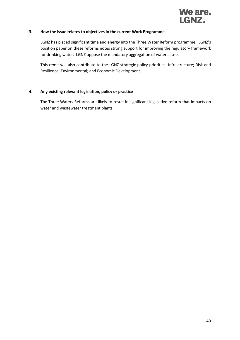

### **3. How the issue relates to objectives in the current Work Programme**

LGNZ has placed significant time and energy into the Three Water Reform programme. LGNZ's position paper on these reforms notes strong support for improving the regulatory framework for drinking water. LGNZ oppose the mandatory aggregation of water assets.

This remit will also contribute to the LGNZ strategic policy priorities: Infrastructure; Risk and Resilience; Environmental; and Economic Development.

### **4. Any existing relevant legislation, policy or practice**

The Three Waters Reforms are likely to result in significant legislative reform that impacts on water and wastewater treatment plants.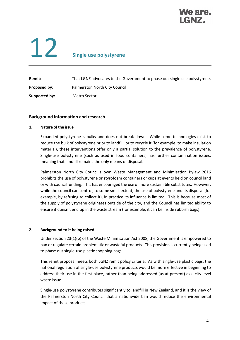

# 12 **Single use polystyrene**

| <b>Remit:</b> | That LGNZ advocates to the Government to phase out single use polystyrene. |  |  |
|---------------|----------------------------------------------------------------------------|--|--|
| Proposed by:  | Palmerston North City Council                                              |  |  |
| Supported by: | Metro Sector                                                               |  |  |

### **Background information and research**

### **1. Nature of the issue**

Expanded polystyrene is bulky and does not break down. While some technologies exist to reduce the bulk of polystyrene prior to landfill, or to recycle it (for example, to make insulation material), these interventions offer only a partial solution to the prevalence of polystyrene. Single-use polystyrene (such as used in food containers) has further contamination issues, meaning that landfill remains the only means of disposal.

Palmerston North City Council's own Waste Management and Minimisation Bylaw 2016 prohibits the use of polystyrene or styrofoam containers or cups at events held on council land or with council funding. This has encouraged the use of more sustainable substitutes. However, while the council can control, to some small extent, the use of polystyrene and its disposal (for example, by refusing to collect it), in practice its influence is limited. This is because most of the supply of polystyrene originates outside of the city, and the Council has limited ability to ensure it doesn't end up in the waste stream (for example, it can be inside rubbish bags).

### **2. Background to it being raised**

Under section 23(1)(b) of the Waste Minimisation Act 2008, the Government is empowered to ban or regulate certain problematic or wasteful products. This provision is currently being used to phase out single-use plastic shopping bags.

This remit proposal meets both LGNZ remit policy criteria. As with single-use plastic bags, the national regulation of single-use polystyrene products would be more effective in beginning to address their use in the first place, rather than being addressed (as at present) as a city-level waste issue.

Single-use polystyrene contributes significantly to landfill in New Zealand, and it is the view of the Palmerston North City Council that a nationwide ban would reduce the environmental impact of these products.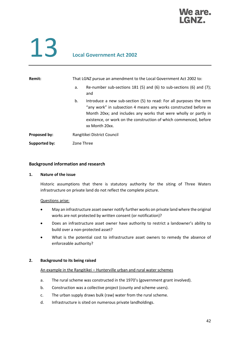

### 13 **Local Government Act 2002**

| Remit:        | That LGNZ pursue an amendment to the Local Government Act 2002 to:                                                                                                                                                                                                                                      |  |  |
|---------------|---------------------------------------------------------------------------------------------------------------------------------------------------------------------------------------------------------------------------------------------------------------------------------------------------------|--|--|
|               | Re-number sub-sections 181 (5) and (6) to sub-sections (6) and (7);<br>а.<br>and                                                                                                                                                                                                                        |  |  |
|               | Introduce a new sub-section (5) to read: For all purposes the term<br>b.<br>"any work" in subsection 4 means any works constructed before xx<br>Month 20xx; and includes any works that were wholly or partly in<br>existence, or work on the construction of which commenced, before<br>xx Month 20xx. |  |  |
| Proposed by:  | Rangitikei District Council                                                                                                                                                                                                                                                                             |  |  |
| Supported by: | Zone Three                                                                                                                                                                                                                                                                                              |  |  |

### **Background information and research**

### **1. Nature of the issue**

Historic assumptions that there is statutory authority for the siting of Three Waters infrastructure on private land do not reflect the complete picture.

### Questions arise:

- May an infrastructure asset owner notify further works on private land where the original works are not protected by written consent (or notification)?
- Does an infrastructure asset owner have authority to restrict a landowner's ability to build over a non-protected asset?
- What is the potential cost to infrastructure asset owners to remedy the absence of enforceable authority?

### **2. Background to its being raised**

### An example in the Rangitikei – Hunterville urban and rural water schemes

- a. The rural scheme was constructed in the 1970's (government grant involved).
- b. Construction was a collective project (county and scheme users).
- c. The urban supply draws bulk (raw) water from the rural scheme.
- d. Infrastructure is sited on numerous private landholdings.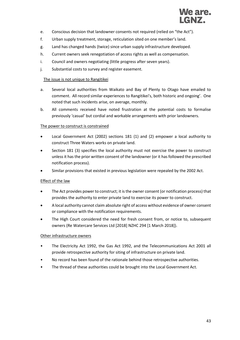

- e. Conscious decision that landowner consents not required (relied on "the Act").
- f. Urban supply treatment, storage, reticulation sited on one member's land.
- g. Land has changed hands (twice) since urban supply infrastructure developed.
- h. Current owners seek renegotiation of access rights as well as compensation.
- i. Council and owners negotiating (little progress after seven years).
- j. Substantial costs to survey and register easement.

### The issue is not unique to Rangitikei

- a. Several local authorities from Waikato and Bay of Plenty to Otago have emailed to comment. All record similar experiences to Rangitikei's, both historic and ongoing'. One noted that such incidents arise, on average, monthly.
- b. All comments received have noted frustration at the potential costs to formalise previously 'casual' but cordial and workable arrangements with prior landowners.

### The power to construct is constrained

- Local Government Act (2002) sections 181 (1) and (2) empower a local authority to construct Three Waters works on private land.
- Section 181 (3) specifies the local authority must not exercise the power to construct unless it has the prior written consent of the landowner (or it has followed the prescribed notification process).
- Similar provisions that existed in previous legislation were repealed by the 2002 Act.

### Effect of the law

- The Act provides power to construct; it is the owner consent (or notification process) that provides the authority to enter private land to exercise its power to construct.
- A local authority cannot claim absolute right of access without evidence of owner consent or compliance with the notification requirements.
- The High Court considered the need for fresh consent from, or notice to, subsequent owners (Re Watercare Services Ltd [2018] NZHC 294 [1 March 2018]).

### Other infrastructure owners

- The Electricity Act 1992, the Gas Act 1992, and the Telecommunications Act 2001 all provide retrospective authority for siting of infrastructure on private land.
- No record has been found of the rationale behind those retrospective authorities.
- The thread of these authorities could be brought into the Local Government Act.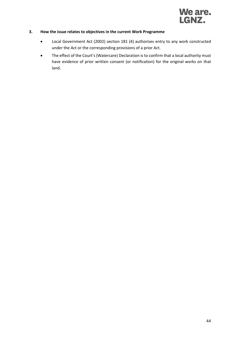

### **3. How the issue relates to objectives in the current Work Programme**

- Local Government Act (2002) section 181 (4) authorises entry to any work constructed under the Act or the corresponding provisions of a prior Act.
- The effect of the Court's (Watercare) Declaration is to confirm that a local authority must have evidence of prior written consent (or notification) for the original works on that land.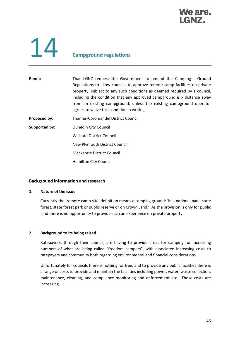

### 14 **Campground regulations**

Remit: That LGNZ request the Government to amend the Camping - Ground Regulations to allow councils to approve remote camp facilities on private property, subject to any such conditions as deemed required by a council, including the condition that any approved campground is x distance away from an existing campground, unless the existing campground operator agrees to waive this condition in writing. **Proposed by:** Thames-Coromandel District Council **Supported by:** Dunedin City Council Waikato District Council

New Plymouth District Council

Mackenzie District Council

Hamilton City Council

### **Background information and research**

### **1. Nature of the issue**

Currently the 'remote camp site' definition means a camping ground: 'in a national park, state forest, state forest park or public reserve or on Crown Land.' As the provision is only for public land there is no opportunity to provide such an experience on private property.

### **2. Background to its being raised**

Ratepayers, through their council, are having to provide areas for camping for increasing numbers of what are being called "freedom campers", with associated increasing costs to ratepayers and community both regarding environmental and financial considerations.

Unfortunately for councils there is nothing for free, and to provide any public facilities there is a range of costs to provide and maintain the facilities including power, water, waste collection, maintenance, cleaning, and compliance monitoring and enforcement etc. Those costs are increasing.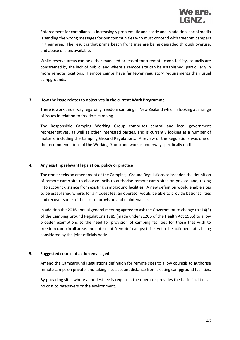Enforcement for compliance is increasingly problematic and costly and in addition, social media is sending the wrong messages for our communities who must contend with freedom campers in their area. The result is that prime beach front sites are being degraded through overuse, and abuse of sites available.

While reserve areas can be either managed or leased for a remote camp facility, councils are constrained by the lack of public land where a remote site can be established, particularly in more remote locations. Remote camps have far fewer regulatory requirements than usual campgrounds.

### **3. How the issue relates to objectives in the current Work Programme**

There is work underway regarding freedom camping in New Zealand which is looking at a range of issues in relation to freedom camping.

The Responsible Camping Working Group comprises central and local government representatives, as well as other interested parties, and is currently looking at a number of matters, including the Camping Ground Regulations. A review of the Regulations was one of the recommendations of the Working Group and work is underway specifically on this.

### **4. Any existing relevant legislation, policy or practice**

The remit seeks an amendment of the Camping - Ground Regulations to broaden the definition of remote camp site to allow councils to authorise remote camp sites on private land, taking into account distance from existing campground facilities. A new definition would enable sites to be established where, for a modest fee, an operator would be able to provide basic facilities and recover some of the cost of provision and maintenance.

In addition the 2016 annual general meeting agreed to ask the Government to change to s14(3) of the Camping Ground Regulations 1985 (made under s120B of the Health Act 1956) to allow broader exemptions to the need for provision of camping facilities for those that wish to freedom camp in all areas and not just at "remote" camps; this is yet to be actioned but is being considered by the joint officials body.

### **5. Suggested course of action envisaged**

Amend the Campground Regulations definition for remote sites to allow councils to authorise remote camps on private land taking into account distance from existing campground facilities.

By providing sites where a modest fee is required, the operator provides the basic facilities at no cost to ratepayers or the environment.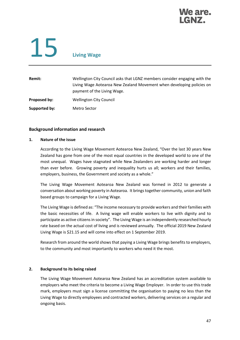

# 15 **Living Wage**

| Remit:        | Wellington City Council asks that LGNZ members consider engaging with the<br>Living Wage Aotearoa New Zealand Movement when developing policies on<br>payment of the Living Wage. |
|---------------|-----------------------------------------------------------------------------------------------------------------------------------------------------------------------------------|
| Proposed by:  | <b>Wellington City Council</b>                                                                                                                                                    |
| Supported by: | Metro Sector                                                                                                                                                                      |

### **Background information and research**

### **1. Nature of the issue**

According to the Living Wage Movement Aotearoa New Zealand, "Over the last 30 years New Zealand has gone from one of the most equal countries in the developed world to one of the most unequal. Wages have stagnated while New Zealanders are working harder and longer than ever before. Growing poverty and inequality hurts us all; workers and their families, employers, business, the Government and society as a whole."

The Living Wage Movement Aotearoa New Zealand was formed in 2012 to generate a conversation about working poverty in Aotearoa. It brings together community, union and faith based groups to campaign for a Living Wage.

The Living Wage is defined as: "The income necessary to provide workers and their families with the basic necessities of life. A living wage will enable workers to live with dignity and to participate as active citizens in society". The Living Wage is an independently researched hourly rate based on the actual cost of living and is reviewed annually. The official 2019 New Zealand Living Wage is \$21.15 and will come into effect on 1 September 2019.

Research from around the world shows that paying a Living Wage brings benefits to employers, to the community and most importantly to workers who need it the most.

### **2. Background to its being raised**

The Living Wage Movement Aotearoa New Zealand has an accreditation system available to employers who meet the criteria to become a Living Wage Employer. In order to use this trade mark, employers must sign a license committing the organisation to paying no less than the Living Wage to directly employees and contracted workers, delivering services on a regular and ongoing basis.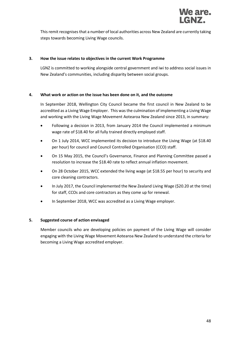

This remit recognises that a number of local authorities across New Zealand are currently taking steps towards becoming Living Wage councils.

### **3. How the issue relates to objectives in the current Work Programme**

LGNZ is committed to working alongside central government and iwi to address social issues in New Zealand's communities, including disparity between social groups.

### **4. What work or action on the issue has been done on it, and the outcome**

In September 2018, Wellington City Council became the first council in New Zealand to be accredited as a Living Wage Employer. This was the culmination of implementing a Living Wage and working with the Living Wage Movement Aotearoa New Zealand since 2013, in summary:

- Following a decision in 2013, from January 2014 the Council implemented a minimum wage rate of \$18.40 for all fully trained directly employed staff.
- On 1 July 2014, WCC implemented its decision to introduce the Living Wage (at \$18.40 per hour) for council and Council Controlled Organisation (CCO) staff.
- On 15 May 2015, the Council's Governance, Finance and Planning Committee passed a resolution to increase the \$18.40 rate to reflect annual inflation movement.
- On 28 October 2015, WCC extended the living wage (at \$18.55 per hour) to security and core cleaning contractors.
- In July 2017, the Council implemented the New Zealand Living Wage (\$20.20 at the time) for staff, CCOs and core contractors as they come up for renewal.
- In September 2018, WCC was accredited as a Living Wage employer.

### **5. Suggested course of action envisaged**

Member councils who are developing policies on payment of the Living Wage will consider engaging with the Living Wage Movement Aotearoa New Zealand to understand the criteria for becoming a Living Wage accredited employer.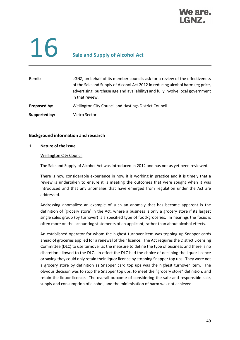### **We are.** GNZ.

## **16** Sale and Supply of Alcohol Act

| Remit:        | LGNZ, on behalf of its member councils ask for a review of the effectiveness<br>of the Sale and Supply of Alcohol Act 2012 in reducing alcohol harm (eg price,<br>advertising, purchase age and availability) and fully involve local government<br>in that review. |  |
|---------------|---------------------------------------------------------------------------------------------------------------------------------------------------------------------------------------------------------------------------------------------------------------------|--|
| Proposed by:  | Wellington City Council and Hastings District Council                                                                                                                                                                                                               |  |
| Supported by: | <b>Metro Sector</b>                                                                                                                                                                                                                                                 |  |

### **Background information and research**

### **1. Nature of the issue**

### Wellington City Council

The Sale and Supply of Alcohol Act was introduced in 2012 and has not as yet been reviewed.

There is now considerable experience in how it is working in practice and it is timely that a review is undertaken to ensure it is meeting the outcomes that were sought when it was introduced and that any anomalies that have emerged from regulation under the Act are addressed.

Addressing anomalies: an example of such an anomaly that has become apparent is the definition of 'grocery store' in the Act, where a business is only a grocery store if its largest single sales group (by turnover) is a specified type of food/groceries. In hearings the focus is often more on the accounting statements of an applicant, rather than about alcohol effects.

An established operator for whom the highest turnover item was topping up Snapper cards ahead of groceries applied for a renewal of their licence. The Act requires the District Licensing Committee (DLC) to use turnover as the measure to define the type of business and there is no discretion allowed to the DLC. In effect the DLC had the choice of declining the liquor licence or saying they could only retain their liquor licence by stopping Snapper top ups. They were not a grocery store by definition as Snapper card top ups was the highest turnover item. The obvious decision was to stop the Snapper top ups, to meet the "grocery store" definition, and retain the liquor licence. The overall outcome of considering the safe and responsible sale, supply and consumption of alcohol; and the minimisation of harm was not achieved.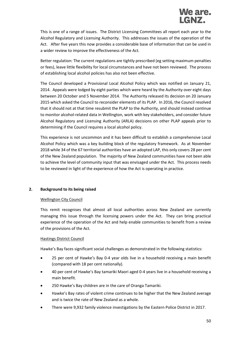This is one of a range of issues. The District Licensing Committees all report each year to the Alcohol Regulatory and Licensing Authority. This addresses the issues of the operation of the Act. After five years this now provides a considerable base of information that can be used in a wider review to improve the effectiveness of the Act.

Better regulation: The current regulations are tightly prescribed (eg setting maximum penalties or fees), leave little flexibility for local circumstances and have not been reviewed. The process of establishing local alcohol policies has also not been effective.

The Council developed a Provisional Local Alcohol Policy which was notified on January 21, 2014. Appeals were lodged by eight parties which were heard by the Authority over eight days between 20 October and 5 November 2014. The Authority released its decision on 20 January 2015 which asked the Council to reconsider elements of its PLAP. In 2016, the Council resolved that it should not at that time resubmit the PLAP to the Authority, and should instead continue to monitor alcohol-related data in Wellington, work with key stakeholders, and consider future Alcohol Regulatory and Licensing Authority (ARLA) decisions on other PLAP appeals prior to determining if the Council requires a local alcohol policy.

This experience is not uncommon and it has been difficult to establish a comprehensive Local Alcohol Policy which was a key building block of the regulatory framework. As at November 2018 while 34 of the 67 territorial authorities have an adopted LAP, this only covers 28 per cent of the New Zealand population. The majority of New Zealand communities have not been able to achieve the level of community input that was envisaged under the Act. This process needs to be reviewed in light of the experience of how the Act is operating in practice.

### **2. Background to its being raised**

### Wellington City Council

This remit recognises that almost all local authorities across New Zealand are currently managing this issue through the licensing powers under the Act. They can bring practical experience of the operation of the Act and help enable communities to benefit from a review of the provisions of the Act.

### Hastings District Council

Hawke's Bay faces significant social challenges as demonstrated in the following statistics:

- 25 per cent of Hawke's Bay 0-4 year olds live in a household receiving a main benefit (compared with 18 per cent nationally).
- 40 per cent of Hawke's Bay tamariki Maori aged 0-4 years live in a household receiving a main benefit.
- 250 Hawke's Bay children are in the care of Oranga Tamariki.
- Hawke's Bay rates of violent crime continues to be higher that the New Zealand average and is twice the rate of New Zealand as a whole.
- There were 9,932 family violence investigations by the Eastern Police District in 2017.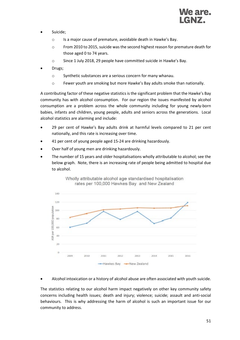

- Suicide;
	- o Is a major cause of premature, avoidable death in Hawke's Bay.
	- $\circ$  From 2010 to 2015, suicide was the second highest reason for premature death for those aged 0 to 74 years.
	- o Since 1 July 2018, 29 people have committed suicide in Hawke's Bay.
- Drugs;
	- o Synthetic substances are a serious concern for many whanau.
	- o Fewer youth are smoking but more Hawke's Bay adults smoke than nationally.

A contributing factor of these negative statistics is the significant problem that the Hawke's Bay community has with alcohol consumption. For our region the issues manifested by alcohol consumption are a problem across the whole community including for young newly-born babies, infants and children, young people, adults and seniors across the generations. Local alcohol statistics are alarming and include:

- 29 per cent of Hawke's Bay adults drink at harmful levels compared to 21 per cent nationally, and this rate is increasing over time.
- 41 per cent of young people aged 15-24 are drinking hazardously.
- Over half of young men are drinking hazardously.
- The number of 15 years and older hospitalisations wholly attributable to alcohol; see the below graph. Note, there is an increasing rate of people being admitted to hospital due to alcohol.



Wholly attributable alcohol age standardised hospitalisation rates per 100,000 Hawkes Bay and New Zealand

• Alcohol intoxication or a history of alcohol abuse are often associated with youth suicide.

The statistics relating to our alcohol harm impact negatively on other key community safety concerns including health issues; death and injury; violence; suicide; assault and anti-social behaviours. This is why addressing the harm of alcohol is such an important issue for our community to address.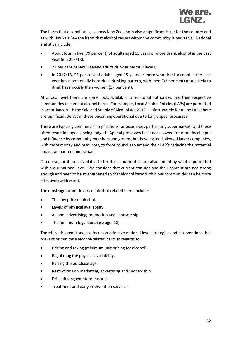The harm that alcohol causes across New Zealand is also a significant issue for the country and as with Hawke's Bay the harm that alcohol causes within the community is pervasive. National statistics include:

- About four in five (79 per cent) of adults aged 15 years or more drank alcohol in the past year (in 2017/18).
- 21 per cent of New Zealand adults drink at harmful levels.
- In 2017/18, 25 per cent of adults aged 15 years or more who drank alcohol in the past year has a potentially hazardous drinking pattern, with men (32 per cent) more likely to drink hazardously than women (17 per cent).

At a local level there are some tools available to territorial authorities and their respective communities to combat alcohol harm. For example, Local Alcohol Policies (LAPs) are permitted in accordance with the Sale and Supply of Alcohol Act 2012. Unfortunately for many LAPs there are significant delays in these becoming operational due to long appeal processes.

There are typically commercial implications for businesses particularly supermarkets and these often result in appeals being lodged. Appeal processes have not allowed for more local input and influence by community members and groups, but have instead allowed larger companies, with more money and resources, to force councils to amend their LAP's reducing the potential impact on harm minimisation.

Of course, local tools available to territorial authorities are also limited by what is permitted within our national laws. We consider that current statutes and their content are not strong enough and need to be strengthened so that alcohol harm within our communities can be more effectively addressed.

The most significant drivers of alcohol-related harm include:

- The low price of alcohol.
- Levels of physical availability.
- Alcohol advertising; promotion and sponsorship.
- The minimum legal purchase age (18).

Therefore this remit seeks a focus on effective national level strategies and interventions that prevent or minimise alcohol-related harm in regards to:

- Pricing and taxing (minimum unit pricing for alcohol).
- Regulating the physical availability.
- Raising the purchase age.
- Restrictions on marketing, advertising and sponsorship.
- Drink driving countermeasures.
- Treatment and early intervention services.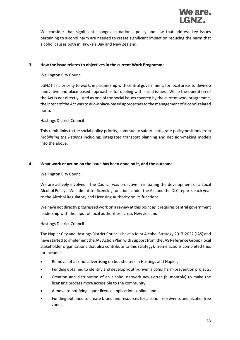

We consider that significant changes in national policy and law that address key issues pertaining to alcohol harm are needed to create significant impact on reducing the harm that alcohol causes both in Hawke's Bay and New Zealand.

### **3. How the issue relates to objectives in the current Work Programme**

### Wellington City Council

LGNZ has a priority to work, in partnership with central government, for local areas to develop innovative and place-based approaches for dealing with social issues. While the operation of the Act is not directly listed as one of the social issues covered by the current work programme, the intent of the Act was to allow place-based approaches to the management of alcohol related harm.

### Hastings District Council

This remit links to the social policy priority; community safety. Integrate policy positions from *Mobilising the Regions* including: integrated transport planning and decision-making models into the above.

### **4. What work or action on the issue has been done on it, and the outcome**

### Wellington City Council

We are actively involved. The Council was proactive in initiating the development of a Local Alcohol Policy. We administer licencing functions under the Act and the DLC reports each year to the Alcohol Regulatory and Licensing Authority on its functions.

We have not directly progressed work on a review at this point as it requires central government leadership with the input of local authorities across New Zealand.

### Hastings District Council

The Napier City and Hastings District Councils have a Joint Alcohol Strategy 2017-2022 (JAS) and have started to implement the JAS Action Plan with support from the JAS Reference Group (local stakeholder organisations that also contribute to this strategy). Some actions completed thus far include:

- Removal of alcohol advertising on bus shelters in Hastings and Napier;
- Funding obtained to identify and develop youth-driven alcohol harm prevention projects;
- Creation and distribution of an alcohol network newsletter (bi-monthly) to make the licensing process more accessible to the community;
- A move to notifying liquor licence applications online; and
- Funding obtained to create brand and resources for alcohol free events and alcohol free zones.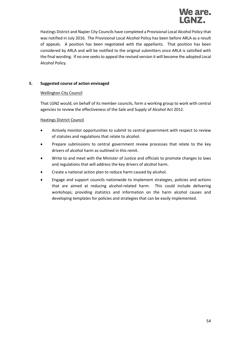

Hastings District and Napier City Councils have completed a Provisional Local Alcohol Policy that was notified in July 2016. The Provisional Local Alcohol Policy has been before ARLA as a result of appeals. A position has been negotiated with the appellants. That position has been considered by ARLA and will be notified to the original submitters once ARLA is satisfied with the final wording. If no one seeks to appeal the revised version it will become the adopted Local Alcohol Policy.

### **5. Suggested course of action envisaged**

### Wellington City Council

That LGNZ would, on behalf of its member councils, form a working group to work with central agencies to review the effectiveness of the Sale and Supply of Alcohol Act 2012.

### Hastings District Council

- Actively monitor opportunities to submit to central government with respect to review of statutes and regulations that relate to alcohol.
- Prepare submissions to central government review processes that relate to the key drivers of alcohol harm as outlined in this remit.
- Write to and meet with the Minister of Justice and officials to promote changes to laws and regulations that will address the key drivers of alcohol harm.
- Create a national action plan to reduce harm caused by alcohol.
- Engage and support councils nationwide to implement strategies, policies and actions that are aimed at reducing alcohol-related harm. This could include delivering workshops; providing statistics and information on the harm alcohol causes and developing templates for policies and strategies that can be easily implemented.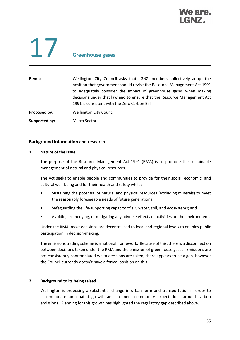

# 17 **Greenhouse gases**

| Wellington City Council asks that LGNZ members collectively adopt the   |
|-------------------------------------------------------------------------|
| position that government should revise the Resource Management Act 1991 |
| to adequately consider the impact of greenhouse gases when making       |
| decisions under that law and to ensure that the Resource Management Act |
| 1991 is consistent with the Zero Carbon Bill.                           |
| <b>Wellington City Council</b>                                          |
|                                                                         |

**Supported by:** Metro Sector

### **Background information and research**

### **1. Nature of the issue**

The purpose of the Resource Management Act 1991 (RMA) is to promote the sustainable management of natural and physical resources.

The Act seeks to enable people and communities to provide for their social, economic, and cultural well-being and for their health and safety while:

- Sustaining the potential of natural and physical resources (excluding minerals) to meet the reasonably foreseeable needs of future generations;
- Safeguarding the life-supporting capacity of air, water, soil, and ecosystems; and
- Avoiding, remedying, or mitigating any adverse effects of activities on the environment.

Under the RMA, most decisions are decentralised to local and regional levels to enables public participation in decision-making.

The emissions trading scheme is a national framework. Because of this, there is a disconnection between decisions taken under the RMA and the emission of greenhouse gases. Emissions are not consistently contemplated when decisions are taken; there appears to be a gap, however the Council currently doesn't have a formal position on this.

### **2. Background to its being raised**

Wellington is proposing a substantial change in urban form and transportation in order to accommodate anticipated growth and to meet community expectations around carbon emissions. Planning for this growth has highlighted the regulatory gap described above.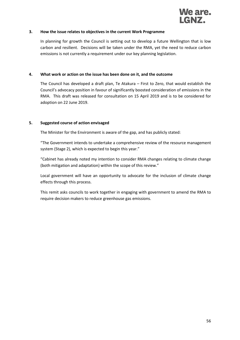

### **3. How the issue relates to objectives in the current Work Programme**

In planning for growth the Council is setting out to develop a future Wellington that is low carbon and resilient. Decisions will be taken under the RMA, yet the need to reduce carbon emissions is not currently a requirement under our key planning legislation.

### **4. What work or action on the issue has been done on it, and the outcome**

The Council has developed a draft plan, Te Atakura – First to Zero, that would establish the Council's advocacy position in favour of significantly boosted consideration of emissions in the RMA. This draft was released for consultation on 15 April 2019 and is to be considered for adoption on 22 June 2019.

### **5. Suggested course of action envisaged**

The Minister for the Environment is aware of the gap, and has publicly stated:

"The Government intends to undertake a comprehensive review of the resource management system (Stage 2), which is expected to begin this year."

"Cabinet has already noted my intention to consider RMA changes relating to climate change (both mitigation and adaptation) within the scope of this review."

Local government will have an opportunity to advocate for the inclusion of climate change effects through this process.

This remit asks councils to work together in engaging with government to amend the RMA to require decision makers to reduce greenhouse gas emissions.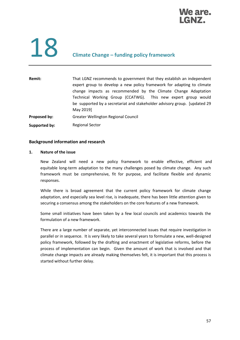

## 18 **Climate Change – funding policy framework**

| Remit:        | That LGNZ recommends to government that they establish an independent<br>expert group to develop a new policy framework for adapting to climate<br>change impacts as recommended by the Climate Change Adaptation |  |
|---------------|-------------------------------------------------------------------------------------------------------------------------------------------------------------------------------------------------------------------|--|
|               | Technical Working Group (CCATWG). This new expert group would<br>be supported by a secretariat and stakeholder advisory group. [updated 29]<br>May 2019]                                                          |  |
| Proposed by:  | Greater Wellington Regional Council                                                                                                                                                                               |  |
| Supported by: | <b>Regional Sector</b>                                                                                                                                                                                            |  |

### **Background information and research**

### **1. Nature of the issue**

New Zealand will need a new policy framework to enable effective, efficient and equitable long-term adaptation to the many challenges posed by climate change. Any such framework must be comprehensive, fit for purpose, and facilitate flexible and dynamic responses.

While there is broad agreement that the current policy framework for climate change adaptation, and especially sea level rise, is inadequate, there has been little attention given to securing a consensus among the stakeholders on the core features of a new framework.

Some small initiatives have been taken by a few local councils and academics towards the formulation of a new framework.

There are a large number of separate, yet interconnected issues that require investigation in parallel or in sequence. It is very likely to take several years to formulate a new, well-designed policy framework, followed by the drafting and enactment of legislative reforms, before the process of implementation can begin. Given the amount of work that is involved and that climate change impacts are already making themselves felt, it is important that this process is started without further delay.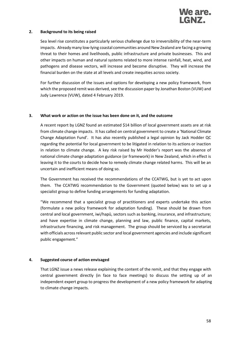

### **2. Background to its being raised**

Sea level rise constitutes a particularly serious challenge due to irreversibility of the near-term impacts. Already many low-lying coastal communities around New Zealand are facing a growing threat to their homes and livelihoods, public infrastructure and private businesses. This and other impacts on human and natural systems related to more intense rainfall, heat, wind, and pathogens and disease vectors, will increase and become disruptive. They will increase the financial burden on the state at all levels and create inequities across society.

For further discussion of the issues and options for developing a new policy framework, from which the proposed remit was derived, see the discussion paper by Jonathan Boston (VUW) and Judy Lawrence (VUW), dated 4 February 2019.

### **3. What work or action on the issue has been done on it, and the outcome**

A recent report by LGNZ found an estimated \$14 billion of local government assets are at risk from climate change impacts. It has called on central government to create a 'National Climate Change Adaptation Fund'. It has also recently published a legal opinion by Jack Hodder QC regarding the potential for local government to be litigated in relation to its actions or inaction in relation to climate change. A key risk raised by Mr Hodder's report was the absence of national climate change adaptation guidance (or framework) in New Zealand, which in effect is leaving it to the courts to decide how to remedy climate change related harms. This will be an uncertain and inefficient means of doing so.

The Government has received the recommendations of the CCATWG, but is yet to act upon them. The CCATWG recommendation to the Government (quoted below) was to set up a specialist group to define funding arrangements for funding adaptation.

"We recommend that a specialist group of practitioners and experts undertake this action (formulate a new policy framework for adaptation funding). These should be drawn from central and local government, iwi/hapū, sectors such as banking, insurance, and infrastructure; and have expertise in climate change, planning and law, public finance, capital markets, infrastructure financing, and risk management. The group should be serviced by a secretariat with officials across relevant public sector and local government agencies and include significant public engagement."

### **4. Suggested course of action envisaged**

That LGNZ issue a news release explaining the content of the remit, and that they engage with central government directly (in face to face meetings) to discuss the setting up of an independent expert group to progress the development of a new policy framework for adapting to climate change impacts.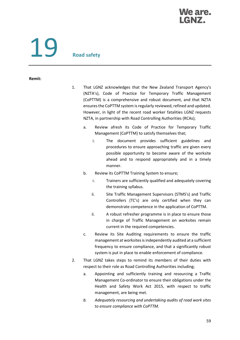### **We are.**

# 19 **Road safety**

### **Remit:**

- 1. That LGNZ acknowledges that the New Zealand Transport Agency's (NZTA's), Code of Practice for Temporary Traffic Management (CoPTTM) is a comprehensive and robust document, and that NZTA ensures the CoPTTM system is regularly reviewed, refined and updated. However, in light of the recent road worker fatalities LGNZ requests NZTA, in partnership with Road Controlling Authorities (RCAs);
	- a. Review afresh its Code of Practice for Temporary Traffic Management (CoPTTM} to satisfy themselves that;
		- i. The document provides sufficient guidelines and procedures to ensure approaching traffic are given every possible opportunity to become aware of the worksite ahead and to respond appropriately and in a timely manner.
	- b. Review its CoPTTM Training System to ensure;
		- i. Trainers are sufficiently qualified and adequately covering the training syllabus.
		- ii. Site Traffic Management Supervisors (STMS's) and Traffic Controllers (TC's) are only certified when they can demonstrate competence in the application of CoPTTM.
		- ii. A robust refresher programme is in place to ensure those in charge of Traffic Management on worksites remain current in the required competencies.
	- c. Review its Site Auditing requirements to ensure the traffic management at worksites is independently audited at a sufficient frequency to ensure compliance, and that a significantly robust system is put in place to enable enforcement of compliance.
- 2. That LGNZ takes steps to remind its members of their duties with respect to their role as Road Controlling Authorities including;
	- a. Appointing and sufficiently training and resourcing a Traffic Management Co-ordinator to ensure their obligations under the Health and Safety Work Act 2015, with respect to traffic management, are being met.
	- *b. Adequately resourcing and undertaking audits of road work sites to ensure compliance with CoPTTM.*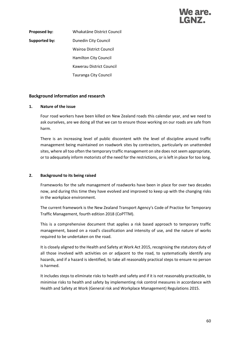### We are.

**Proposed by:** Whakatāne District Council **Supported by:** Dunedin City Council Wairoa District Council Hamilton City Council Kawerau District Council Tauranga City Council

### **Background information and research**

### **1. Nature of the issue**

Four road workers have been killed on New Zealand roads this calendar year, and we need to ask ourselves, are we doing all that we can to ensure those working on our roads are safe from harm.

There is an increasing level of public discontent with the level of discipline around traffic management being maintained on roadwork sites by contractors, particularly on unattended sites, where all too often the temporary traffic management on site does not seem appropriate, or to adequately inform motorists of the need for the restrictions, or is left in place for too long.

### **2. Background to its being raised**

Frameworks for the safe management of roadworks have been in place for over two decades now, and during this time they have evolved and improved to keep up with the changing risks in the workplace environment.

The current framework is the New Zealand Transport Agency's Code of Practice for Temporary Traffic Management, fourth edition 2018 (CoPTTM).

This is a comprehensive document that applies a risk based approach to temporary traffic management, based on a road's classification and intensity of use, and the nature of works required to be undertaken on the road.

It is closely aligned to the Health and Safety at Work Act 2015, recognising the statutory duty of all those involved with activities on or adjacent to the road, to systematically identify any hazards, and if a hazard is identified, to take all reasonably practical steps to ensure no person is harmed.

It includes steps to eliminate risks to health and safety and if it is not reasonably practicable, to minimise risks to health and safety by implementing risk control measures in accordance with Health and Safety at Work (General risk and Workplace Management) Regulations 2015.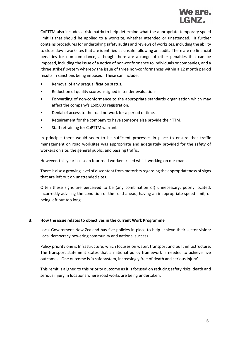

CoPTTM also includes a risk matrix to help determine what the appropriate temporary speed limit is that should be applied to a worksite, whether attended or unattended. It further contains procedures for undertaking safety audits and reviews of worksites, including the ability to close down worksites that are identified as unsafe following an audit. There are no financial penalties for non-compliance, although there are a range of other penalties that can be imposed, including the issue of a notice of non-conformance to individuals or companies, and a 'three strikes' system whereby the issue of three non-conformances within a 12 month period results in sanctions being imposed. These can include:

- Removal of any prequalification status.
- Reduction of quality scores assigned in tender evaluations.
- Forwarding of non-conformance to the appropriate standards organisation which may affect the company's 1S09000 registration.
- Denial of access to the road network for a period of time.
- Requirement for the company to have someone else provide their TTM.
- Staff retraining for CoPTTM warrants.

In principle there would seem to be sufficient processes in place to ensure that traffic management on road worksites was appropriate and adequately provided for the safety of workers on site, the general public, and passing traffic.

However, this year has seen four road workers killed whilst working on our roads.

There is also a growing level of discontent from motorists regarding the appropriateness of signs that are left out on unattended sites.

Often these signs are perceived to be (any combination of) unnecessary, poorly located, incorrectly advising the condition of the road ahead, having an inappropriate speed limit, or being left out too long.

### **3. How the issue relates to objectives in the current Work Programme**

Local Government New Zealand has five policies in place to help achieve their sector vision: Local democracy powering community and national success.

Policy priority one is Infrastructure, which focuses on water, transport and built infrastructure. The transport statement states that a national policy framework is needed to achieve five outcomes. One outcome is 'a safe system, increasingly free of death and serious injury'.

This remit is aligned to this priority outcome as it is focused on reducing safety risks, death and serious injury in locations where road works are being undertaken.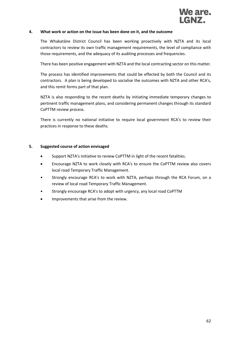

### **4. What work or action on the issue has been done on it, and the outcome**

The Whakatāne District Council has been working proactively with NZTA and its local contractors to review its own traffic management requirements, the level of compliance with those requirements, and the adequacy of its auditing processes and frequencies.

There has been positive engagement with NZTA and the local contracting sector on this matter.

The process has identified improvements that could be effected by both the Council and its contractors. A plan is being developed to socialise the outcomes with NZTA and other RCA's, and this remit forms part of that plan.

NZTA is also responding to the recent deaths by initiating immediate temporary changes to pertinent traffic management plans, and considering permanent changes through its standard CoPTTM review process.

There is currently no national initiative to require local government RCA's to review their practices in response to these deaths.

### **5. Suggested course of action envisaged**

- Support NZTA's initiative to review CoPTTM in light of the recent fatalities.
- Encourage NZTA to work closely with RCA's to ensure the CoPTTM review also covers local road Temporary Traffic Management.
- Strongly encourage RCA's to work with NZTA, perhaps through the RCA Forum, on a review of local road Temporary Traffic Management.
- Strongly encourage RCA's to adopt with urgency, any local road CoPTTM
- Improvements that arise from the review.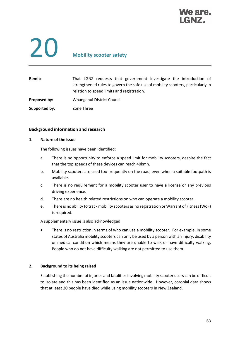

### 20 **Mobility scooter safety**

| <b>Remit:</b> | That LGNZ requests that government investigate the introduction of<br>strengthened rules to govern the safe use of mobility scooters, particularly in<br>relation to speed limits and registration. |
|---------------|-----------------------------------------------------------------------------------------------------------------------------------------------------------------------------------------------------|
| Proposed by:  | Whanganui District Council                                                                                                                                                                          |
| Supported by: | Zone Three                                                                                                                                                                                          |

### **Background information and research**

### **1. Nature of the issue**

The following issues have been identified:

- a. There is no opportunity to enforce a speed limit for mobility scooters, despite the fact that the top speeds of these devices can reach 40kmh.
- b. Mobility scooters are used too frequently on the road, even when a suitable footpath is available.
- c. There is no requirement for a mobility scooter user to have a license or any previous driving experience.
- d. There are no health related restrictions on who can operate a mobility scooter.
- e. There is no ability to track mobility scooters as no registration or Warrant of Fitness (WoF) is required.

A supplementary issue is also acknowledged:

There is no restriction in terms of who can use a mobility scooter. For example, in some states of Australia mobility scooters can only be used by a person with an injury, disability or medical condition which means they are unable to walk or have difficulty walking. People who do not have difficulty walking are not permitted to use them.

### **2. Background to its being raised**

Establishing the number of injuries and fatalities involving mobility scooter users can be difficult to isolate and this has been identified as an issue nationwide. However, coronial data shows that at least 20 people have died while using mobility scooters in New Zealand.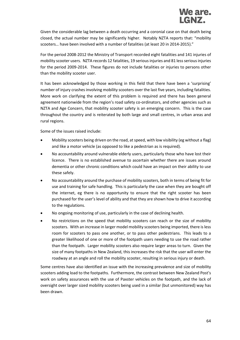

Given the considerable lag between a death occurring and a coronial case on that death being closed, the actual number may be significantly higher. Notably NZTA reports that: "mobility scooters… have been involved with a number of fatalities (at least 20 in 2014-2015)."

For the period 2008-2012 the Ministry of Transport recorded eight fatalities and 141 injuries of mobility scooter users. NZTA records 12 fatalities, 19 serious injuries and 81 less serious injuries for the period 2009-2014. These figures do not include fatalities or injuries to persons other than the mobility scooter user.

It has been acknowledged by those working in this field that there have been a 'surprising' number of injury crashes involving mobility scooters over the last five years, including fatalities. More work on clarifying the extent of this problem is required and there has been general agreement nationwide from the region's road safety co-ordinators, and other agencies such as NZTA and Age Concern, that mobility scooter safety is an emerging concern. This is the case throughout the country and is reiterated by both large and small centres, in urban areas and rural regions.

Some of the issues raised include:

- Mobility scooters being driven on the road, at speed, with low visibility (eg without a flag) and like a motor vehicle (as opposed to like a pedestrian as is required).
- No accountability around vulnerable elderly users, particularly those who have lost their licence. There is no established avenue to ascertain whether there are issues around dementia or other chronic conditions which could have an impact on their ability to use these safely.
- No accountability around the purchase of mobility scooters, both in terms of being fit for use and training for safe handling. This is particularly the case when they are bought off the internet, eg there is no opportunity to ensure that the right scooter has been purchased for the user's level of ability and that they are shown how to drive it according to the regulations.
- No ongoing monitoring of use, particularly in the case of declining health.
- No restrictions on the speed that mobility scooters can reach or the size of mobility scooters. With an increase in larger model mobility scooters being imported, there is less room for scooters to pass one another, or to pass other pedestrians. This leads to a greater likelihood of one or more of the footpath users needing to use the road rather than the footpath. Larger mobility scooters also require larger areas to turn. Given the size of many footpaths in New Zealand, this increases the risk that the user will enter the roadway at an angle and roll the mobility scooter, resulting in serious injury or death.

Some centres have also identified an issue with the increasing prevalence and size of mobility scooters adding load to the footpaths. Furthermore, the contrast between New Zealand Post's work on safety assurances with the use of Paxster vehicles on the footpath, and the lack of oversight over larger sized mobility scooters being used in a similar (but unmonitored) way has been drawn.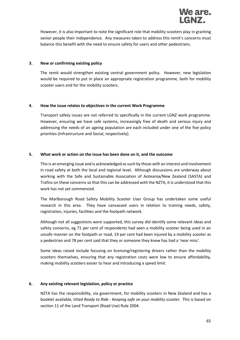

However, it is also important to note the significant role that mobility scooters play in granting senior people their independence. Any measures taken to address this remit's concerns must balance this benefit with the need to ensure safety for users and other pedestrians.

### **3. New or confirming existing policy**

The remit would strengthen existing central government policy. However, new legislation would be required to put in place an appropriate registration programme, both for mobility scooter users and for the mobility scooters.

### **4. How the issue relates to objectives in the current Work Programme**

Transport safety issues are not referred to specifically in the current LGNZ work programme. However, ensuring we have safe systems, increasingly free of death and serious injury and addressing the needs of an ageing population are each included under one of the five policy priorities (Infrastructure and Social, respectively).

### **5. What work or action on the issue has been done on it, and the outcome**

This is an emerging issue and is acknowledged as such by those with an interest and involvement in road safety at both the local and regional level. Although discussions are underway about working with the Safe and Sustainable Association of Aotearoa/New Zealand (SASTA) and Trafinz on these concerns so that this can be addressed with the NZTA, it is understood that this work has not yet commenced.

The Marlborough Road Safety Mobility Scooter User Group has undertaken some useful research in this area. They have canvassed users in relation to training needs, safety, registration, injuries, facilities and the footpath network.

Although not all suggestions were supported, this survey did identify some relevant ideas and safety concerns, eg 71 per cent of respondents had seen a mobility scooter being used in an unsafe manner on the footpath or road, 19 per cent had been injured by a mobility scooter as a pedestrian and 78 per cent said that they or someone they knew has had a 'near miss'.

Some ideas raised include focusing on licensing/registering drivers rather than the mobility scooters themselves, ensuring that any registration costs were low to ensure affordability, making mobility scooters easier to hear and introducing a speed limit.

### **6. Any existing relevant legislation, policy or practice**

NZTA has the responsibility, via government, for mobility scooters in New Zealand and has a booklet available, titled *Ready to Ride - Keeping safe on your mobility scooter.* This is based on section 11 of the Land Transport (Road Use) Rule 2004.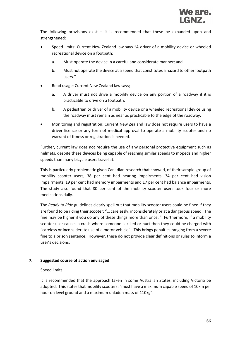The following provisions exist  $-$  it is recommended that these be expanded upon and strengthened:

- Speed limits: Current New Zealand law says "A driver of a mobility device or wheeled recreational device on a footpath;
	- a. Must operate the device in a careful and considerate manner; and
	- b. Must not operate the device at a speed that constitutes a hazard to other footpath users."
- Road usage: Current New Zealand law says;
	- a. A driver must not drive a mobility device on any portion of a roadway if it is practicable to drive on a footpath.
	- b. A pedestrian or driver of a mobility device or a wheeled recreational device using the roadway must remain as near as practicable to the edge of the roadway.
- Monitoring and registration: Current New Zealand law does not require users to have a driver licence or any form of medical approval to operate a mobility scooter and no warrant of fitness or registration is needed.

Further, current law does not require the use of any personal protective equipment such as helmets, despite these devices being capable of reaching similar speeds to mopeds and higher speeds than many bicycle users travel at.

This is particularly problematic given Canadian research that showed, of their sample group of mobility scooter users, 38 per cent had hearing impairments, 34 per cent had vision impairments, 19 per cent had memory impairments and 17 per cent had balance impairments. The study also found that 80 per cent of the mobility scooter users took four or more medications daily.

The *Ready to Ride* guidelines clearly spell out that mobility scooter users could be fined if they are found to be riding their scooter: "… carelessly, inconsiderately or at a dangerous speed. The fine may be higher if you do any of these things more than once. " Furthermore, if a mobility scooter user causes a crash where someone is killed or hurt then they could be charged with "careless or inconsiderate use of a motor vehicle". This brings penalties ranging from a severe fine to a prison sentence. However, these do not provide clear definitions or rules to inform a user's decisions.

### **7. Suggested course of action envisaged**

### Speed limits

It is recommended that the approach taken in some Australian States, including Victoria be adopted. This states that mobility scooters: "must have a maximum capable speed of 10km per hour on level ground and a maximum unladen mass of 110kg".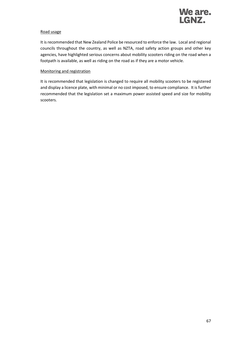

### Road usage

It is recommended that New Zealand Police be resourced to enforce the law. Local and regional councils throughout the country, as well as NZTA, road safety action groups and other key agencies, have highlighted serious concerns about mobility scooters riding on the road when a footpath is available, as well as riding on the road as if they are a motor vehicle.

### Monitoring and registration

It is recommended that legislation is changed to require all mobility scooters to be registered and display a licence plate, with minimal or no cost imposed, to ensure compliance. It is further recommended that the legislation set a maximum power assisted speed and size for mobility scooters.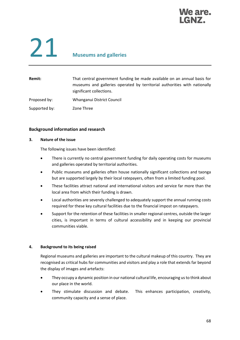### We are.

## 21 **Museums and galleries**

| <b>Remit:</b> | That central government funding be made available on an annual basis for<br>museums and galleries operated by territorial authorities with nationally<br>significant collections. |
|---------------|-----------------------------------------------------------------------------------------------------------------------------------------------------------------------------------|
| Proposed by:  | Whanganui District Council                                                                                                                                                        |
| Supported by: | Zone Three                                                                                                                                                                        |

### **Background information and research**

### **3. Nature of the issue**

The following issues have been identified:

- There is currently no central government funding for daily operating costs for museums and galleries operated by territorial authorities.
- Public museums and galleries often house nationally significant collections and taonga but are supported largely by their local ratepayers, often from a limited funding pool.
- These facilities attract national and international visitors and service far more than the local area from which their funding is drawn.
- Local authorities are severely challenged to adequately support the annual running costs required for these key cultural facilities due to the financial impost on ratepayers.
- Support for the retention of these facilities in smaller regional centres, outside the larger cities, is important in terms of cultural accessibility and in keeping our provincial communities viable.

### **4. Background to its being raised**

Regional museums and galleries are important to the cultural makeup of this country. They are recognised as critical hubs for communities and visitors and play a role that extends far beyond the display of images and artefacts:

- They occupy a dynamic position in our national cultural life, encouraging us to think about our place in the world.
- They stimulate discussion and debate. This enhances participation, creativity, community capacity and a sense of place.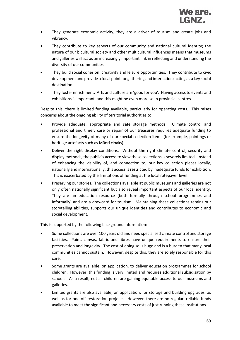- They generate economic activity; they are a driver of tourism and create jobs and vibrancy.
- They contribute to key aspects of our community and national cultural identity; the nature of our bicultural society and other multicultural influences means that museums and galleries will act as an increasingly important link in reflecting and understanding the diversity of our communities.
- They build social cohesion, creativity and leisure opportunities. They contribute to civic development and provide a focal point for gathering and interaction; acting as a key social destination.
- They foster enrichment. Arts and culture are 'good for you'. Having access to events and exhibitions is important, and this might be even more so in provincial centres.

Despite this, there is limited funding available, particularly for operating costs. This raises concerns about the ongoing ability of territorial authorities to:

- Provide adequate, appropriate and safe storage methods. Climate control and professional and timely care or repair of our treasures requires adequate funding to ensure the longevity of many of our special collection items (for example, paintings or heritage artefacts such as Māori cloaks).
- Deliver the right display conditions. Without the right climate control, security and display methods, the public's access to view these collections is severely limited. Instead of enhancing the visibility of, and connection to, our key collection pieces locally, nationally and internationally, this access is restricted by inadequate funds for exhibition. This is exacerbated by the limitations of funding at the local ratepayer level.
- Preserving our stories. The collections available at public museums and galleries are not only often nationally significant but also reveal important aspects of our local identity. They are an education resource (both formally through school programmes and informally) and are a drawcard for tourism. Maintaining these collections retains our storytelling abilities, supports our unique identities and contributes to economic and social development.

This is supported by the following background information:

- Some collections are over 100 years old and need specialised climate control and storage facilities. Paint, canvas, fabric and fibres have unique requirements to ensure their preservation and longevity. The cost of doing so is huge and is a burden that many local communities cannot sustain. However, despite this, they are solely responsible for this care.
- Some grants are available, on application, to deliver education programmes for school children. However, this funding is very limited and requires additional subsidisation by schools. As a result, not all children are gaining equitable access to our museums and galleries.
- Limited grants are also available, on application, for storage and building upgrades, as well as for one-off restoration projects. However, there are no regular, reliable funds available to meet the significant and necessary costs of just running these institutions.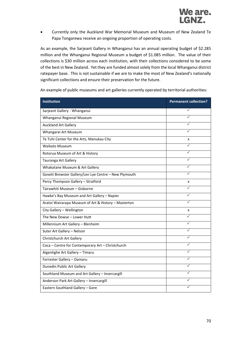• Currently only the Auckland War Memorial Museum and Museum of New Zealand Te Papa Tongarewa receive an ongoing proportion of operating costs.

As an example, the Sarjeant Gallery in Whanganui has an annual operating budget of \$2.285 million and the Whanganui Regional Museum a budget of \$1.085 million. The value of their collections is \$30 million across each institution, with their collections considered to be some of the best in New Zealand. Yet they are funded almost solely from the local Whanganui district ratepayer base. This is not sustainable if we are to make the most of New Zealand's nationally significant collections and ensure their preservation for the future.

| Institution                                           | <b>Permanent collection?</b> |
|-------------------------------------------------------|------------------------------|
| Sarjeant Gallery - Whanganui                          | ✓                            |
| Whanganui Regional Museum                             |                              |
| <b>Auckland Art Gallery</b>                           |                              |
| Whangarei Art Museum                                  | ✓                            |
| Te Tuhi Center for the Arts, Manukau City             | x                            |
| <b>Waikato Museum</b>                                 | ✓                            |
| Rotorua Museum of Art & History                       | $\checkmark$                 |
| Tauranga Art Gallery                                  |                              |
| Whakatane Museum & Art Gallery                        |                              |
| Govett Brewster Gallery/Len Lye Centre - New Plymouth |                              |
| Percy Thompson Gallery - Stratford                    | x                            |
| Tairawhiti Museum - Gisborne                          |                              |
| Hawke's Bay Museum and Art Gallery - Napier           |                              |
| Aratoi Wairarapa Museum of Art & History - Masterton  | ✓                            |
| City Gallery - Wellington                             | x                            |
| The New Dowse - Lower Hutt                            |                              |
| Millennium Art Gallery - Blenheim                     | ✓                            |
| Suter Art Gallery - Nelson                            | ✓                            |
| Christchurch Art Gallery                              |                              |
| Coca - Centre for Contemporary Art - Christchurch     | ✓                            |
| Aigantighe Art Gallery - Timaru                       |                              |
| Forrester Gallery - Oamaru                            |                              |
| Dunedin Public Art Gallery                            | ✓                            |
| Southland Museum and Art Gallery - Invercargill       |                              |
| Anderson Park Art Gallery - Invercargill              |                              |
| Eastern Southland Gallery - Gore                      |                              |

An example of public museums and art galleries currently operated by territorial authorities: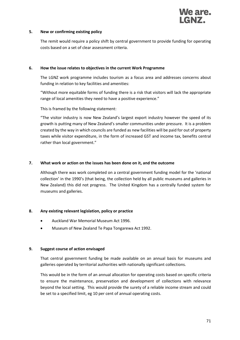

### **5. New or confirming existing policy**

The remit would require a policy shift by central government to provide funding for operating costs based on a set of clear assessment criteria.

### **6. How the issue relates to objectives in the current Work Programme**

The LGNZ work programme includes tourism as a focus area and addresses concerns about funding in relation to key facilities and amenities:

"Without more equitable forms of funding there is a risk that visitors will lack the appropriate range of local amenities they need to have a positive experience."

This is framed by the following statement:

"The visitor industry is now New Zealand's largest export industry however the speed of its growth is putting many of New Zealand's smaller communities under pressure. It is a problem created by the way in which councils are funded as new facilities will be paid for out of property taxes while visitor expenditure, in the form of increased GST and income tax, benefits central rather than local government."

### **7. What work or action on the issues has been done on it, and the outcome**

Although there was work completed on a central government funding model for the 'national collection' in the 1990's (that being, the collection held by all public museums and galleries in New Zealand) this did not progress. The United Kingdom has a centrally funded system for museums and galleries.

### **8. Any existing relevant legislation, policy or practice**

- Auckland War Memorial Museum Act 1996.
- Museum of New Zealand Te Papa Tongarewa Act 1992.

### **9. Suggest course of action envisaged**

That central government funding be made available on an annual basis for museums and galleries operated by territorial authorities with nationally significant collections.

This would be in the form of an annual allocation for operating costs based on specific criteria to ensure the maintenance, preservation and development of collections with relevance beyond the local setting. This would provide the surety of a reliable income stream and could be set to a specified limit, eg 10 per cent of annual operating costs.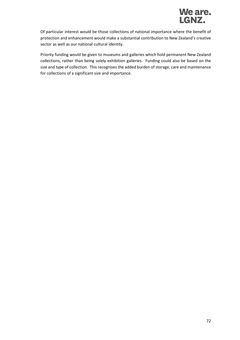

Of particular interest would be those collections of national importance where the benefit of protection and enhancement would make a substantial contribution to New Zealand's creative sector as well as our national cultural identity.

Priority funding would be given to museums and galleries which hold permanent New Zealand collections, rather than being solely exhibition galleries. Funding could also be based on the size and type of collection. This recognises the added burden of storage, care and maintenance for collections of a significant size and importance.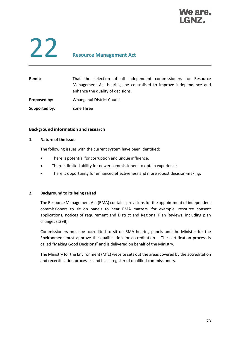### We are.

### 22 **Resource Management Act**

| Remit:        | That the selection of all independent commissioners for Resource<br>Management Act hearings be centralised to improve independence and<br>enhance the quality of decisions. |
|---------------|-----------------------------------------------------------------------------------------------------------------------------------------------------------------------------|
| Proposed by:  | Whanganui District Council                                                                                                                                                  |
| Supported by: | Zone Three                                                                                                                                                                  |

#### **Background information and research**

#### **1. Nature of the issue**

The following issues with the current system have been identified:

- There is potential for corruption and undue influence.
- There is limited ability for newer commissioners to obtain experience.
- There is opportunity for enhanced effectiveness and more robust decision-making.

#### **2. Background to its being raised**

The Resource Management Act (RMA) contains provisions for the appointment of independent commissioners to sit on panels to hear RMA matters, for example, resource consent applications, notices of requirement and District and Regional Plan Reviews, including plan changes (s39B).

Commissioners must be accredited to sit on RMA hearing panels and the Minister for the Environment must approve the qualification for accreditation. The certification process is called "Making Good Decisions" and is delivered on behalf of the Ministry.

The Ministry for the Environment (MfE) website sets out the areas covered by the accreditation and recertification processes and has a register of qualified commissioners.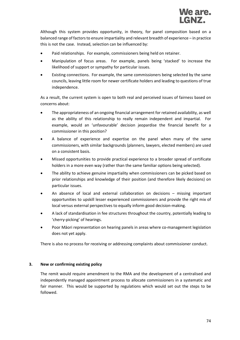Although this system provides opportunity, in theory, for panel composition based on a balanced range of factors to ensure impartiality and relevant breadth of experience – in practice this is not the case. Instead, selection can be influenced by:

- Paid relationships. For example, commissioners being held on retainer.
- Manipulation of focus areas. For example, panels being 'stacked' to increase the likelihood of support or sympathy for particular issues.
- Existing connections. For example, the same commissioners being selected by the same councils, leaving little room for newer certificate holders and leading to questions of true independence.

As a result, the current system is open to both real and perceived issues of fairness based on concerns about:

- The appropriateness of an ongoing financial arrangement for retained availability, as well as the ability of this relationship to really remain independent and impartial. For example, would an 'unfavourable' decision jeopardise the financial benefit for a commissioner in this position?
- A balance of experience and expertise on the panel when many of the same commissioners, with similar backgrounds (planners, lawyers, elected members) are used on a consistent basis.
- Missed opportunities to provide practical experience to a broader spread of certificate holders in a more even way (rather than the same familiar options being selected).
- The ability to achieve genuine impartiality when commissioners can be picked based on prior relationships and knowledge of their position (and therefore likely decisions) on particular issues.
- An absence of local and external collaboration on decisions missing important opportunities to upskill lesser experienced commissioners and provide the right mix of local versus external perspectives to equally inform good decision-making.
- A lack of standardisation in fee structures throughout the country, potentially leading to 'cherry-picking' of hearings.
- Poor Māori representation on hearing panels in areas where co-management legislation does not yet apply.

There is also no process for receiving or addressing complaints about commissioner conduct.

#### **3. New or confirming existing policy**

The remit would require amendment to the RMA and the development of a centralised and independently managed appointment process to allocate commissioners in a systematic and fair manner. This would be supported by regulations which would set out the steps to be followed.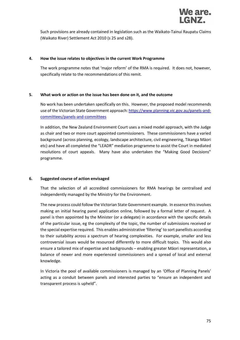

Such provisions are already contained in legislation such as the Waikato-Tainui Raupatu Claims (Waikato River) Settlement Act 2010 (s 25 and s28).

#### **4. How the issue relates to objectives in the current Work Programme**

The work programme notes that 'major reform' of the RMA is required. It does not, however, specifically relate to the recommendations of this remit.

#### **5. What work or action on the issue has been done on it, and the outcome**

No work has been undertaken specifically on this. However, the proposed model recommends use of the Victorian State Government approach[: https://www.planning.vic.gov.au/panels-and](https://www.planning.vic.gov.au/panels-and-committees/panels-and-committees)[committees/panels-and-committees](https://www.planning.vic.gov.au/panels-and-committees/panels-and-committees)

In addition, the New Zealand Environment Court uses a mixed model approach, with the Judge as chair and two or more court appointed commissioners. These commissioners have a varied background (across planning, ecology, landscape architecture, civil engineering, Tikanga Māori etc) and have all completed the "LEADR" mediation programme to assist the Court in mediated resolutions of court appeals. Many have also undertaken the "Making Good Decisions" programme.

#### **6. Suggested course of action envisaged**

That the selection of all accredited commissioners for RMA hearings be centralised and independently managed by the Ministry for the Environment.

The new process could follow the Victorian State Government example. In essence this involves making an initial hearing panel application online, followed by a formal letter of request. A panel is then appointed by the Minister (or a delegate) in accordance with the specific details of the particular issue, eg the complexity of the topic, the number of submissions received or the special expertise required. This enables administrative 'filtering' to sort panellists according to their suitability across a spectrum of hearing complexities. For example, smaller and less controversial issues would be resourced differently to more difficult topics. This would also ensure a tailored mix of expertise and backgrounds – enabling greater Māori representation, a balance of newer and more experienced commissioners and a spread of local and external knowledge.

In Victoria the pool of available commissioners is managed by an 'Office of Planning Panels' acting as a conduit between panels and interested parties to "ensure an independent and transparent process is upheld".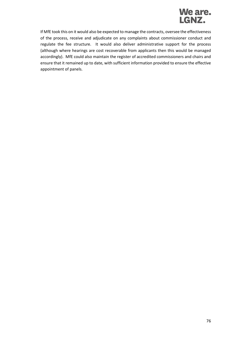

If MfE took this on it would also be expected to manage the contracts, oversee the effectiveness of the process, receive and adjudicate on any complaints about commissioner conduct and regulate the fee structure. It would also deliver administrative support for the process (although where hearings are cost recoverable from applicants then this would be managed accordingly). MfE could also maintain the register of accredited commissioners and chairs and ensure that it remained up to date, with sufficient information provided to ensure the effective appointment of panels.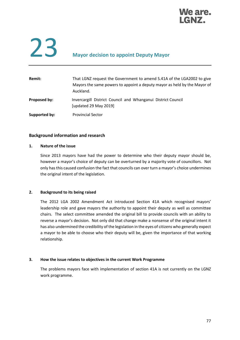

# 23 **Mayor decision to appoint Deputy Mayor**

| Remit:        | That LGNZ request the Government to amend S.41A of the LGA2002 to give<br>Mayors the same powers to appoint a deputy mayor as held by the Mayor of<br>Auckland. |
|---------------|-----------------------------------------------------------------------------------------------------------------------------------------------------------------|
| Proposed by:  | Invercargill District Council and Whanganui District Council<br>[updated 29 May 2019]                                                                           |
| Supported by: | <b>Provincial Sector</b>                                                                                                                                        |

#### **Background information and research**

#### **1. Nature of the issue**

Since 2013 mayors have had the power to determine who their deputy mayor should be, however a mayor's choice of deputy can be overturned by a majority vote of councillors. Not only has this caused confusion the fact that councils can over turn a mayor's choice undermines the original intent of the legislation.

#### **2. Background to its being raised**

The 2012 LGA 2002 Amendment Act introduced Section 41A which recognised mayors' leadership role and gave mayors the authority to appoint their deputy as well as committee chairs. The select committee amended the original bill to provide councils with an ability to reverse a mayor's decision. Not only did that change make a nonsense of the original intent it has also undermined the credibility of the legislation in the eyes of citizens who generally expect a mayor to be able to choose who their deputy will be, given the importance of that working relationship.

#### **3. How the issue relates to objectives in the current Work Programme**

The problems mayors face with implementation of section 41A is not currently on the LGNZ work programme.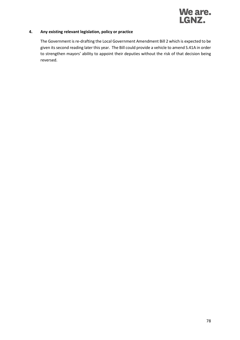

#### **4. Any existing relevant legislation, policy or practice**

The Government is re-drafting the Local Government Amendment Bill 2 which is expected to be given its second reading later this year. The Bill could provide a vehicle to amend S.41A in order to strengthen mayors' ability to appoint their deputies without the risk of that decision being reversed.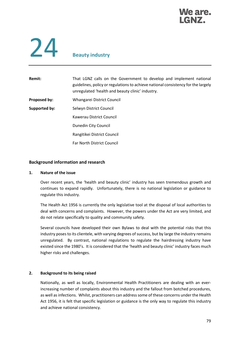

## 24 **Beauty industry**

| Remit:        | That LGNZ calls on the Government to develop and implement national<br>guidelines, policy or regulations to achieve national consistency for the largely<br>unregulated 'health and beauty clinic' industry. |
|---------------|--------------------------------------------------------------------------------------------------------------------------------------------------------------------------------------------------------------|
| Proposed by:  | Whangarei District Council                                                                                                                                                                                   |
| Supported by: | Selwyn District Council                                                                                                                                                                                      |
|               | Kawerau District Council                                                                                                                                                                                     |
|               | Dunedin City Council                                                                                                                                                                                         |
|               | Rangitikei District Council                                                                                                                                                                                  |
|               | <b>Far North District Council</b>                                                                                                                                                                            |

#### **Background information and research**

#### **1. Nature of the issue**

Over recent years, the 'health and beauty clinic' industry has seen tremendous growth and continues to expand rapidly. Unfortunately, there is no national legislation or guidance to regulate this industry.

The Health Act 1956 is currently the only legislative tool at the disposal of local authorities to deal with concerns and complaints. However, the powers under the Act are very limited, and do not relate specifically to quality and community safety.

Several councils have developed their own Bylaws to deal with the potential risks that this industry poses to its clientele, with varying degrees of success, but by large the industry remains unregulated. By contrast, national regulations to regulate the hairdressing industry have existed since the 1980's. It is considered that the 'health and beauty clinic' industry faces much higher risks and challenges.

#### **2. Background to its being raised**

Nationally, as well as locally, Environmental Health Practitioners are dealing with an everincreasing number of complaints about this industry and the fallout from botched procedures, as well as infections. Whilst, practitioners can address some of these concerns under the Health Act 1956, it is felt that specific legislation or guidance is the only way to regulate this industry and achieve national consistency.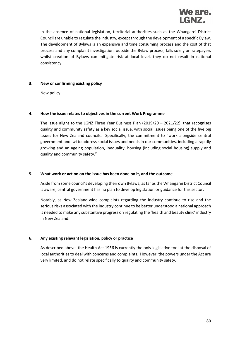

In the absence of national legislation, territorial authorities such as the Whangarei District Council are unable to regulate the industry, except through the development of a specific Bylaw. The development of Bylaws is an expensive and time consuming process and the cost of that process and any complaint investigation, outside the Bylaw process, falls solely on ratepayers whilst creation of Bylaws can mitigate risk at local level, they do not result in national consistency.

#### **3. New or confirming existing policy**

New policy.

#### **4. How the issue relates to objectives in the current Work Programme**

The issue aligns to the LGNZ Three Year Business Plan (2019/20 – 2021/22), that recognises quality and community safety as a key social issue, with social issues being one of the five big issues for New Zealand councils. Specifically, the commitment to "work alongside central government and iwi to address social issues and needs in our communities, including a rapidly growing and an ageing population, inequality, housing (including social housing) supply and quality and community safety."

#### **5. What work or action on the issue has been done on it, and the outcome**

Aside from some council's developing their own Bylaws, as far as the Whangarei District Council is aware, central government has no plan to develop legislation or guidance for this sector.

Notably, as New Zealand-wide complaints regarding the industry continue to rise and the serious risks associated with the industry continue to be better understood a national approach is needed to make any substantive progress on regulating the 'health and beauty clinic' industry in New Zealand.

#### **6. Any existing relevant legislation, policy or practice**

As described above, the Health Act 1956 is currently the only legislative tool at the disposal of local authorities to deal with concerns and complaints. However, the powers under the Act are very limited, and do not relate specifically to quality and community safety.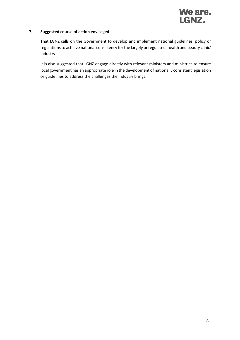

#### **7. Suggested course of action envisaged**

That LGNZ calls on the Government to develop and implement national guidelines, policy or regulations to achieve national consistency for the largely unregulated 'health and beauty clinic' industry.

It is also suggested that LGNZ engage directly with relevant ministers and ministries to ensure local government has an appropriate role in the development of nationally consistent legislation or guidelines to address the challenges the industry brings.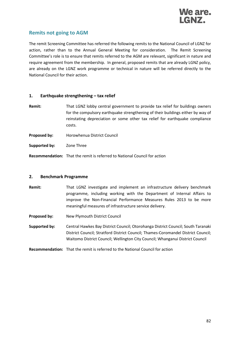

### **Remits not going to AGM**

The remit Screening Committee has referred the following remits to the National Council of LGNZ for action, rather than to the Annual General Meeting for consideration. The Remit Screening Committee's role is to ensure that remits referred to the AGM are relevant, significant in nature and require agreement from the membership. In general, proposed remits that are already LGNZ policy, are already on the LGNZ work programme or technical in nature will be referred directly to the National Council for their action.

#### **1. Earthquake strengthening – tax relief**

- **Remit:** That LGNZ lobby central government to provide tax relief for buildings owners for the compulsory earthquake strengthening of their buildings either by way of reinstating depreciation or some other tax relief for earthquake compliance costs.
- **Proposed by:** Horowhenua District Council
- **Supported by:** Zone Three

**Recommendation:** That the remit is referred to National Council for action

#### **2. Benchmark Programme**

- **Remit:** That LGNZ investigate and implement an infrastructure delivery benchmark programme, including working with the Department of Internal Affairs to improve the Non-Financial Performance Measures Rules 2013 to be more meaningful measures of infrastructure service delivery.
- **Proposed by:** New Plymouth District Council
- **Supported by:** Central Hawkes Bay District Council; Otorohanga District Council; South Taranaki District Council; Stratford District Council; Thames-Coromandel District Council; Waitomo District Council; Wellington City Council; Whanganui District Council
- **Recommendation:** That the remit is referred to the National Council for action